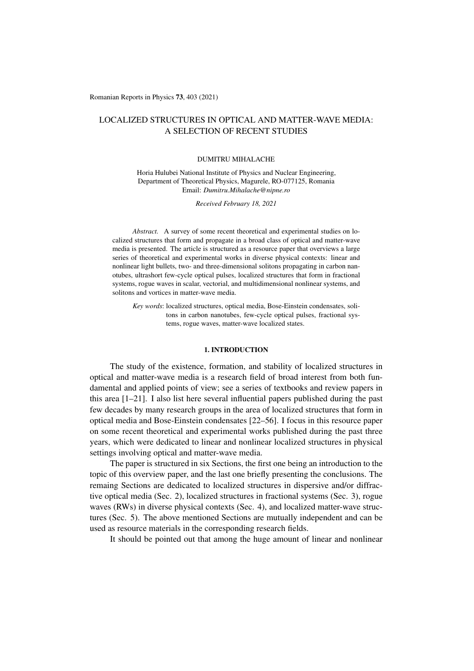Romanian Reports in Physics 73, 403 (2021)

# LOCALIZED STRUCTURES IN OPTICAL AND MATTER-WAVE MEDIA: A SELECTION OF RECENT STUDIES

### DUMITRU MIHALACHE

Horia Hulubei National Institute of Physics and Nuclear Engineering, Department of Theoretical Physics, Magurele, RO-077125, Romania Email: *Dumitru.Mihalache@nipne.ro*

*Received February 18, 2021*

*Abstract.* A survey of some recent theoretical and experimental studies on localized structures that form and propagate in a broad class of optical and matter-wave media is presented. The article is structured as a resource paper that overviews a large series of theoretical and experimental works in diverse physical contexts: linear and nonlinear light bullets, two- and three-dimensional solitons propagating in carbon nanotubes, ultrashort few-cycle optical pulses, localized structures that form in fractional systems, rogue waves in scalar, vectorial, and multidimensional nonlinear systems, and solitons and vortices in matter-wave media.

*Key words*: localized structures, optical media, Bose-Einstein condensates, solitons in carbon nanotubes, few-cycle optical pulses, fractional systems, rogue waves, matter-wave localized states.

### 1. INTRODUCTION

The study of the existence, formation, and stability of localized structures in optical and matter-wave media is a research field of broad interest from both fundamental and applied points of view; see a series of textbooks and review papers in this area [1–21]. I also list here several influential papers published during the past few decades by many research groups in the area of localized structures that form in optical media and Bose-Einstein condensates [22–56]. I focus in this resource paper on some recent theoretical and experimental works published during the past three years, which were dedicated to linear and nonlinear localized structures in physical settings involving optical and matter-wave media.

The paper is structured in six Sections, the first one being an introduction to the topic of this overview paper, and the last one briefly presenting the conclusions. The remaing Sections are dedicated to localized structures in dispersive and/or diffractive optical media (Sec. 2), localized structures in fractional systems (Sec. 3), rogue waves (RWs) in diverse physical contexts (Sec. 4), and localized matter-wave structures (Sec. 5). The above mentioned Sections are mutually independent and can be used as resource materials in the corresponding research fields.

It should be pointed out that among the huge amount of linear and nonlinear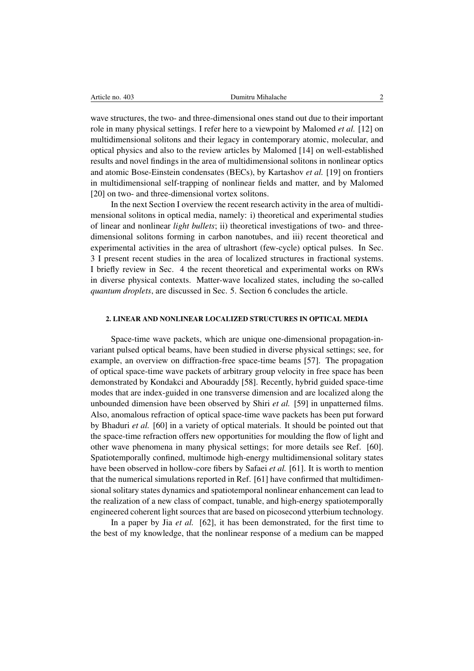wave structures, the two- and three-dimensional ones stand out due to their important role in many physical settings. I refer here to a viewpoint by Malomed *et al.* [12] on multidimensional solitons and their legacy in contemporary atomic, molecular, and optical physics and also to the review articles by Malomed [14] on well-established results and novel findings in the area of multidimensional solitons in nonlinear optics and atomic Bose-Einstein condensates (BECs), by Kartashov *et al.* [19] on frontiers in multidimensional self-trapping of nonlinear fields and matter, and by Malomed [20] on two- and three-dimensional vortex solitons.

In the next Section I overview the recent research activity in the area of multidimensional solitons in optical media, namely: i) theoretical and experimental studies of linear and nonlinear *light bullets*; ii) theoretical investigations of two- and threedimensional solitons forming in carbon nanotubes, and iii) recent theoretical and experimental activities in the area of ultrashort (few-cycle) optical pulses. In Sec. 3 I present recent studies in the area of localized structures in fractional systems. I briefly review in Sec. 4 the recent theoretical and experimental works on RWs in diverse physical contexts. Matter-wave localized states, including the so-called *quantum droplets*, are discussed in Sec. 5. Section 6 concludes the article.

### 2. LINEAR AND NONLINEAR LOCALIZED STRUCTURES IN OPTICAL MEDIA

Space-time wave packets, which are unique one-dimensional propagation-invariant pulsed optical beams, have been studied in diverse physical settings; see, for example, an overview on diffraction-free space-time beams [57]. The propagation of optical space-time wave packets of arbitrary group velocity in free space has been demonstrated by Kondakci and Abouraddy [58]. Recently, hybrid guided space-time modes that are index-guided in one transverse dimension and are localized along the unbounded dimension have been observed by Shiri *et al.* [59] in unpatterned films. Also, anomalous refraction of optical space-time wave packets has been put forward by Bhaduri *et al.* [60] in a variety of optical materials. It should be pointed out that the space-time refraction offers new opportunities for moulding the flow of light and other wave phenomena in many physical settings; for more details see Ref. [60]. Spatiotemporally confined, multimode high-energy multidimensional solitary states have been observed in hollow-core fibers by Safaei *et al.* [61]. It is worth to mention that the numerical simulations reported in Ref. [61] have confirmed that multidimensional solitary states dynamics and spatiotemporal nonlinear enhancement can lead to the realization of a new class of compact, tunable, and high-energy spatiotemporally engineered coherent light sources that are based on picosecond ytterbium technology.

In a paper by Jia *et al.* [62], it has been demonstrated, for the first time to the best of my knowledge, that the nonlinear response of a medium can be mapped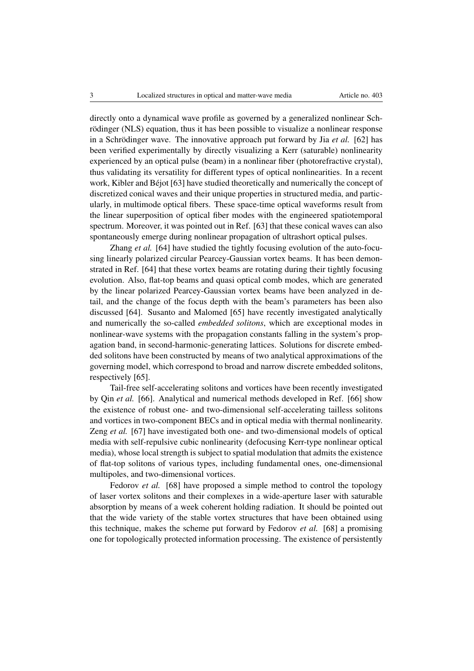directly onto a dynamical wave profile as governed by a generalized nonlinear Schrödinger (NLS) equation, thus it has been possible to visualize a nonlinear response in a Schrödinger wave. The innovative approach put forward by Jia *et al.* [62] has been verified experimentally by directly visualizing a Kerr (saturable) nonlinearity experienced by an optical pulse (beam) in a nonlinear fiber (photorefractive crystal), thus validating its versatility for different types of optical nonlinearities. In a recent work, Kibler and Béjot  $[63]$  have studied theoretically and numerically the concept of discretized conical waves and their unique properties in structured media, and particularly, in multimode optical fibers. These space-time optical waveforms result from the linear superposition of optical fiber modes with the engineered spatiotemporal spectrum. Moreover, it was pointed out in Ref. [63] that these conical waves can also spontaneously emerge during nonlinear propagation of ultrashort optical pulses.

Zhang *et al.* [64] have studied the tightly focusing evolution of the auto-focusing linearly polarized circular Pearcey-Gaussian vortex beams. It has been demonstrated in Ref. [64] that these vortex beams are rotating during their tightly focusing evolution. Also, flat-top beams and quasi optical comb modes, which are generated by the linear polarized Pearcey-Gaussian vortex beams have been analyzed in detail, and the change of the focus depth with the beam's parameters has been also discussed [64]. Susanto and Malomed [65] have recently investigated analytically and numerically the so-called *embedded solitons*, which are exceptional modes in nonlinear-wave systems with the propagation constants falling in the system's propagation band, in second-harmonic-generating lattices. Solutions for discrete embedded solitons have been constructed by means of two analytical approximations of the governing model, which correspond to broad and narrow discrete embedded solitons, respectively [65].

Tail-free self-accelerating solitons and vortices have been recently investigated by Qin *et al.* [66]. Analytical and numerical methods developed in Ref. [66] show the existence of robust one- and two-dimensional self-accelerating tailless solitons and vortices in two-component BECs and in optical media with thermal nonlinearity. Zeng *et al.* [67] have investigated both one- and two-dimensional models of optical media with self-repulsive cubic nonlinearity (defocusing Kerr-type nonlinear optical media), whose local strength is subject to spatial modulation that admits the existence of flat-top solitons of various types, including fundamental ones, one-dimensional multipoles, and two-dimensional vortices.

Fedorov *et al.* [68] have proposed a simple method to control the topology of laser vortex solitons and their complexes in a wide-aperture laser with saturable absorption by means of a week coherent holding radiation. It should be pointed out that the wide variety of the stable vortex structures that have been obtained using this technique, makes the scheme put forward by Fedorov *et al.* [68] a promising one for topologically protected information processing. The existence of persistently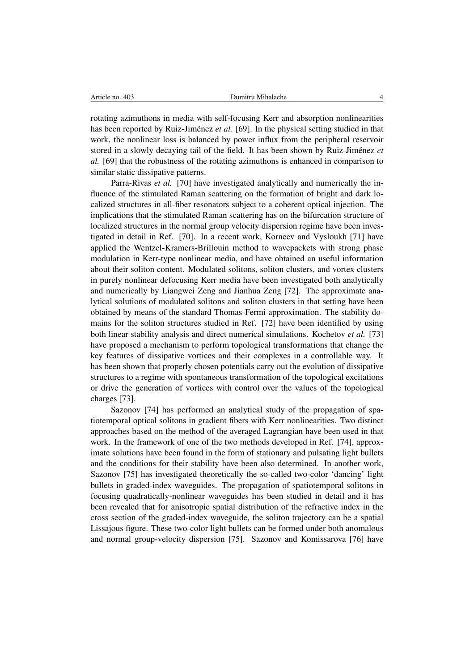rotating azimuthons in media with self-focusing Kerr and absorption nonlinearities has been reported by Ruiz-Jiménez et al. [69]. In the physical setting studied in that work, the nonlinear loss is balanced by power influx from the peripheral reservoir stored in a slowly decaying tail of the field. It has been shown by Ruiz-Jiménez et *al.* [69] that the robustness of the rotating azimuthons is enhanced in comparison to similar static dissipative patterns.

Parra-Rivas *et al.* [70] have investigated analytically and numerically the influence of the stimulated Raman scattering on the formation of bright and dark localized structures in all-fiber resonators subject to a coherent optical injection. The implications that the stimulated Raman scattering has on the bifurcation structure of localized structures in the normal group velocity dispersion regime have been investigated in detail in Ref. [70]. In a recent work, Korneev and Vysloukh [71] have applied the Wentzel-Kramers-Brillouin method to wavepackets with strong phase modulation in Kerr-type nonlinear media, and have obtained an useful information about their soliton content. Modulated solitons, soliton clusters, and vortex clusters in purely nonlinear defocusing Kerr media have been investigated both analytically and numerically by Liangwei Zeng and Jianhua Zeng [72]. The approximate analytical solutions of modulated solitons and soliton clusters in that setting have been obtained by means of the standard Thomas-Fermi approximation. The stability domains for the soliton structures studied in Ref. [72] have been identified by using both linear stability analysis and direct numerical simulations. Kochetov *et al.* [73] have proposed a mechanism to perform topological transformations that change the key features of dissipative vortices and their complexes in a controllable way. It has been shown that properly chosen potentials carry out the evolution of dissipative structures to a regime with spontaneous transformation of the topological excitations or drive the generation of vortices with control over the values of the topological charges [73].

Sazonov [74] has performed an analytical study of the propagation of spatiotemporal optical solitons in gradient fibers with Kerr nonlinearities. Two distinct approaches based on the method of the averaged Lagrangian have been used in that work. In the framework of one of the two methods developed in Ref. [74], approximate solutions have been found in the form of stationary and pulsating light bullets and the conditions for their stability have been also determined. In another work, Sazonov [75] has investigated theoretically the so-called two-color 'dancing' light bullets in graded-index waveguides. The propagation of spatiotemporal solitons in focusing quadratically-nonlinear waveguides has been studied in detail and it has been revealed that for anisotropic spatial distribution of the refractive index in the cross section of the graded-index waveguide, the soliton trajectory can be a spatial Lissajous figure. These two-color light bullets can be formed under both anomalous and normal group-velocity dispersion [75]. Sazonov and Komissarova [76] have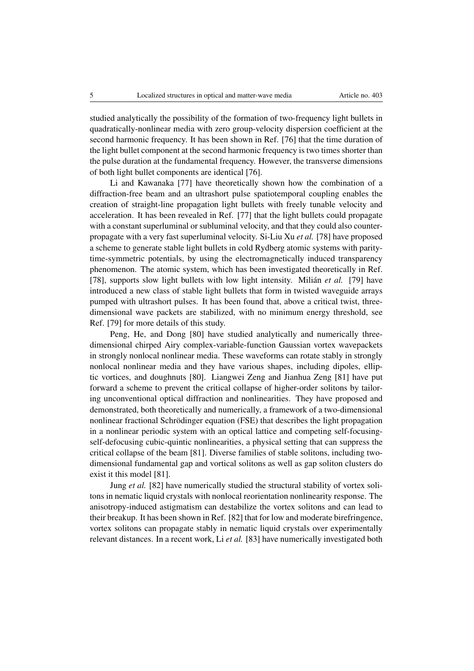studied analytically the possibility of the formation of two-frequency light bullets in quadratically-nonlinear media with zero group-velocity dispersion coefficient at the second harmonic frequency. It has been shown in Ref. [76] that the time duration of the light bullet component at the second harmonic frequency is two times shorter than the pulse duration at the fundamental frequency. However, the transverse dimensions of both light bullet components are identical [76].

Li and Kawanaka [77] have theoretically shown how the combination of a diffraction-free beam and an ultrashort pulse spatiotemporal coupling enables the creation of straight-line propagation light bullets with freely tunable velocity and acceleration. It has been revealed in Ref. [77] that the light bullets could propagate with a constant superluminal or subluminal velocity, and that they could also counterpropagate with a very fast superluminal velocity. Si-Liu Xu *et al.* [78] have proposed a scheme to generate stable light bullets in cold Rydberg atomic systems with paritytime-symmetric potentials, by using the electromagnetically induced transparency phenomenon. The atomic system, which has been investigated theoretically in Ref. [78], supports slow light bullets with low light intensity. Milián *et al.* [79] have introduced a new class of stable light bullets that form in twisted waveguide arrays pumped with ultrashort pulses. It has been found that, above a critical twist, threedimensional wave packets are stabilized, with no minimum energy threshold, see Ref. [79] for more details of this study.

Peng, He, and Dong [80] have studied analytically and numerically threedimensional chirped Airy complex-variable-function Gaussian vortex wavepackets in strongly nonlocal nonlinear media. These waveforms can rotate stably in strongly nonlocal nonlinear media and they have various shapes, including dipoles, elliptic vortices, and doughnuts [80]. Liangwei Zeng and Jianhua Zeng [81] have put forward a scheme to prevent the critical collapse of higher-order solitons by tailoring unconventional optical diffraction and nonlinearities. They have proposed and demonstrated, both theoretically and numerically, a framework of a two-dimensional nonlinear fractional Schrödinger equation (FSE) that describes the light propagation in a nonlinear periodic system with an optical lattice and competing self-focusingself-defocusing cubic-quintic nonlinearities, a physical setting that can suppress the critical collapse of the beam [81]. Diverse families of stable solitons, including twodimensional fundamental gap and vortical solitons as well as gap soliton clusters do exist it this model [81].

Jung *et al.* [82] have numerically studied the structural stability of vortex solitons in nematic liquid crystals with nonlocal reorientation nonlinearity response. The anisotropy-induced astigmatism can destabilize the vortex solitons and can lead to their breakup. It has been shown in Ref. [82] that for low and moderate birefringence, vortex solitons can propagate stably in nematic liquid crystals over experimentally relevant distances. In a recent work, Li *et al.* [83] have numerically investigated both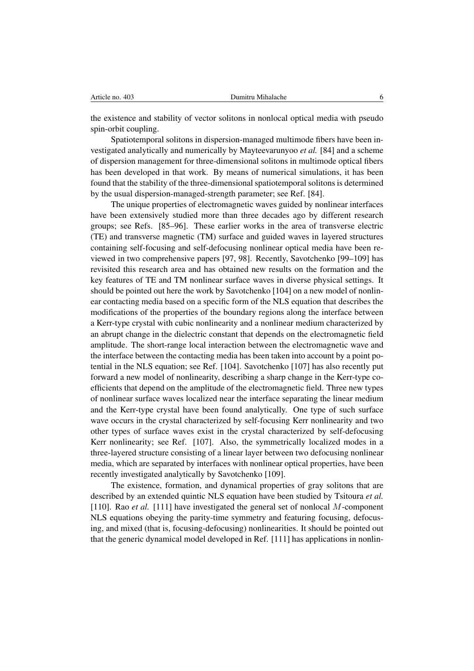the existence and stability of vector solitons in nonlocal optical media with pseudo spin-orbit coupling.

Spatiotemporal solitons in dispersion-managed multimode fibers have been investigated analytically and numerically by Mayteevarunyoo *et al.* [84] and a scheme of dispersion management for three-dimensional solitons in multimode optical fibers has been developed in that work. By means of numerical simulations, it has been found that the stability of the three-dimensional spatiotemporal solitons is determined by the usual dispersion-managed-strength parameter; see Ref. [84].

The unique properties of electromagnetic waves guided by nonlinear interfaces have been extensively studied more than three decades ago by different research groups; see Refs. [85–96]. These earlier works in the area of transverse electric (TE) and transverse magnetic (TM) surface and guided waves in layered structures containing self-focusing and self-defocusing nonlinear optical media have been reviewed in two comprehensive papers [97, 98]. Recently, Savotchenko [99–109] has revisited this research area and has obtained new results on the formation and the key features of TE and TM nonlinear surface waves in diverse physical settings. It should be pointed out here the work by Savotchenko [104] on a new model of nonlinear contacting media based on a specific form of the NLS equation that describes the modifications of the properties of the boundary regions along the interface between a Kerr-type crystal with cubic nonlinearity and a nonlinear medium characterized by an abrupt change in the dielectric constant that depends on the electromagnetic field amplitude. The short-range local interaction between the electromagnetic wave and the interface between the contacting media has been taken into account by a point potential in the NLS equation; see Ref. [104]. Savotchenko [107] has also recently put forward a new model of nonlinearity, describing a sharp change in the Kerr-type coefficients that depend on the amplitude of the electromagnetic field. Three new types of nonlinear surface waves localized near the interface separating the linear medium and the Kerr-type crystal have been found analytically. One type of such surface wave occurs in the crystal characterized by self-focusing Kerr nonlinearity and two other types of surface waves exist in the crystal characterized by self-defocusing Kerr nonlinearity; see Ref. [107]. Also, the symmetrically localized modes in a three-layered structure consisting of a linear layer between two defocusing nonlinear media, which are separated by interfaces with nonlinear optical properties, have been recently investigated analytically by Savotchenko [109].

The existence, formation, and dynamical properties of gray solitons that are described by an extended quintic NLS equation have been studied by Tsitoura *et al.* [110]. Rao *et al.* [111] have investigated the general set of nonlocal *M*-component NLS equations obeying the parity-time symmetry and featuring focusing, defocusing, and mixed (that is, focusing-defocusing) nonlinearities. It should be pointed out that the generic dynamical model developed in Ref. [111] has applications in nonlin-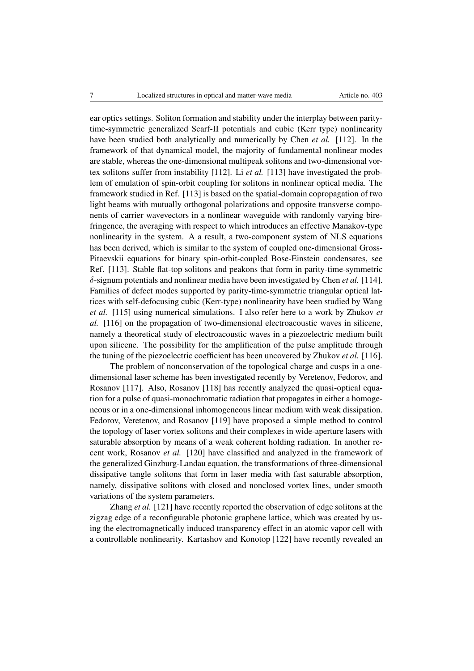ear optics settings. Soliton formation and stability under the interplay between paritytime-symmetric generalized Scarf-II potentials and cubic (Kerr type) nonlinearity have been studied both analytically and numerically by Chen *et al.* [112]. In the framework of that dynamical model, the majority of fundamental nonlinear modes are stable, whereas the one-dimensional multipeak solitons and two-dimensional vortex solitons suffer from instability [112]. Li *et al.* [113] have investigated the problem of emulation of spin-orbit coupling for solitons in nonlinear optical media. The framework studied in Ref. [113] is based on the spatial-domain copropagation of two light beams with mutually orthogonal polarizations and opposite transverse components of carrier wavevectors in a nonlinear waveguide with randomly varying birefringence, the averaging with respect to which introduces an effective Manakov-type nonlinearity in the system. A a result, a two-component system of NLS equations has been derived, which is similar to the system of coupled one-dimensional Gross-Pitaevskii equations for binary spin-orbit-coupled Bose-Einstein condensates, see Ref. [113]. Stable flat-top solitons and peakons that form in parity-time-symmetric  $\delta$ -signum potentials and nonlinear media have been investigated by Chen *et al.* [114]. Families of defect modes supported by parity-time-symmetric triangular optical lattices with self-defocusing cubic (Kerr-type) nonlinearity have been studied by Wang *et al.* [115] using numerical simulations. I also refer here to a work by Zhukov *et al.* [116] on the propagation of two-dimensional electroacoustic waves in silicene, namely a theoretical study of electroacoustic waves in a piezoelectric medium built upon silicene. The possibility for the amplification of the pulse amplitude through the tuning of the piezoelectric coefficient has been uncovered by Zhukov *et al.* [116].

The problem of nonconservation of the topological charge and cusps in a onedimensional laser scheme has been investigated recently by Veretenov, Fedorov, and Rosanov [117]. Also, Rosanov [118] has recently analyzed the quasi-optical equation for a pulse of quasi-monochromatic radiation that propagates in either a homogeneous or in a one-dimensional inhomogeneous linear medium with weak dissipation. Fedorov, Veretenov, and Rosanov [119] have proposed a simple method to control the topology of laser vortex solitons and their complexes in wide-aperture lasers with saturable absorption by means of a weak coherent holding radiation. In another recent work, Rosanov *et al.* [120] have classified and analyzed in the framework of the generalized Ginzburg-Landau equation, the transformations of three-dimensional dissipative tangle solitons that form in laser media with fast saturable absorption, namely, dissipative solitons with closed and nonclosed vortex lines, under smooth variations of the system parameters.

Zhang *et al.* [121] have recently reported the observation of edge solitons at the zigzag edge of a reconfigurable photonic graphene lattice, which was created by using the electromagnetically induced transparency effect in an atomic vapor cell with a controllable nonlinearity. Kartashov and Konotop [122] have recently revealed an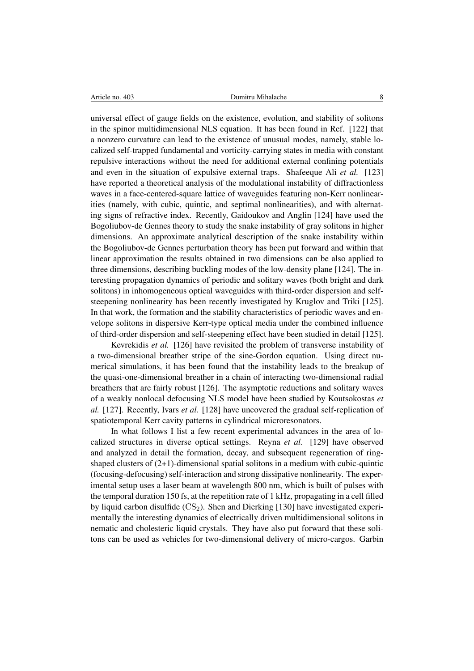universal effect of gauge fields on the existence, evolution, and stability of solitons in the spinor multidimensional NLS equation. It has been found in Ref. [122] that a nonzero curvature can lead to the existence of unusual modes, namely, stable localized self-trapped fundamental and vorticity-carrying states in media with constant repulsive interactions without the need for additional external confining potentials and even in the situation of expulsive external traps. Shafeeque Ali *et al.* [123] have reported a theoretical analysis of the modulational instability of diffractionless waves in a face-centered-square lattice of waveguides featuring non-Kerr nonlinearities (namely, with cubic, quintic, and septimal nonlinearities), and with alternating signs of refractive index. Recently, Gaidoukov and Anglin [124] have used the Bogoliubov-de Gennes theory to study the snake instability of gray solitons in higher dimensions. An approximate analytical description of the snake instability within the Bogoliubov-de Gennes perturbation theory has been put forward and within that linear approximation the results obtained in two dimensions can be also applied to three dimensions, describing buckling modes of the low-density plane [124]. The interesting propagation dynamics of periodic and solitary waves (both bright and dark solitons) in inhomogeneous optical waveguides with third-order dispersion and selfsteepening nonlinearity has been recently investigated by Kruglov and Triki [125]. In that work, the formation and the stability characteristics of periodic waves and envelope solitons in dispersive Kerr-type optical media under the combined influence of third-order dispersion and self-steepening effect have been studied in detail [125].

Kevrekidis *et al.* [126] have revisited the problem of transverse instability of a two-dimensional breather stripe of the sine-Gordon equation. Using direct numerical simulations, it has been found that the instability leads to the breakup of the quasi-one-dimensional breather in a chain of interacting two-dimensional radial breathers that are fairly robust [126]. The asymptotic reductions and solitary waves of a weakly nonlocal defocusing NLS model have been studied by Koutsokostas *et al.* [127]. Recently, Ivars *et al.* [128] have uncovered the gradual self-replication of spatiotemporal Kerr cavity patterns in cylindrical microresonators.

In what follows I list a few recent experimental advances in the area of localized structures in diverse optical settings. Reyna *et al.* [129] have observed and analyzed in detail the formation, decay, and subsequent regeneration of ringshaped clusters of (2+1)-dimensional spatial solitons in a medium with cubic-quintic (focusing-defocusing) self-interaction and strong dissipative nonlinearity. The experimental setup uses a laser beam at wavelength 800 nm, which is built of pulses with the temporal duration 150 fs, at the repetition rate of 1 kHz, propagating in a cell filled by liquid carbon disulfide  $(CS_2)$ . Shen and Dierking [130] have investigated experimentally the interesting dynamics of electrically driven multidimensional solitons in nematic and cholesteric liquid crystals. They have also put forward that these solitons can be used as vehicles for two-dimensional delivery of micro-cargos. Garbin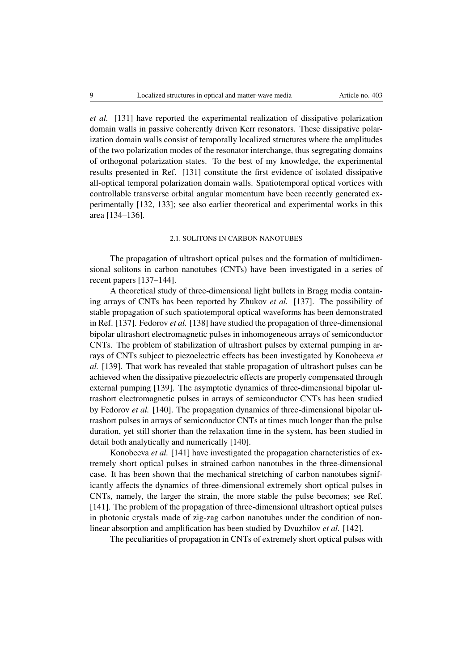*et al.* [131] have reported the experimental realization of dissipative polarization domain walls in passive coherently driven Kerr resonators. These dissipative polarization domain walls consist of temporally localized structures where the amplitudes of the two polarization modes of the resonator interchange, thus segregating domains of orthogonal polarization states. To the best of my knowledge, the experimental results presented in Ref. [131] constitute the first evidence of isolated dissipative all-optical temporal polarization domain walls. Spatiotemporal optical vortices with controllable transverse orbital angular momentum have been recently generated experimentally [132, 133]; see also earlier theoretical and experimental works in this area [134–136].

### 2.1. SOLITONS IN CARBON NANOTUBES

The propagation of ultrashort optical pulses and the formation of multidimensional solitons in carbon nanotubes (CNTs) have been investigated in a series of recent papers [137–144].

A theoretical study of three-dimensional light bullets in Bragg media containing arrays of CNTs has been reported by Zhukov *et al.* [137]. The possibility of stable propagation of such spatiotemporal optical waveforms has been demonstrated in Ref. [137]. Fedorov *et al.* [138] have studied the propagation of three-dimensional bipolar ultrashort electromagnetic pulses in inhomogeneous arrays of semiconductor CNTs. The problem of stabilization of ultrashort pulses by external pumping in arrays of CNTs subject to piezoelectric effects has been investigated by Konobeeva *et al.* [139]. That work has revealed that stable propagation of ultrashort pulses can be achieved when the dissipative piezoelectric effects are properly compensated through external pumping [139]. The asymptotic dynamics of three-dimensional bipolar ultrashort electromagnetic pulses in arrays of semiconductor CNTs has been studied by Fedorov *et al.* [140]. The propagation dynamics of three-dimensional bipolar ultrashort pulses in arrays of semiconductor CNTs at times much longer than the pulse duration, yet still shorter than the relaxation time in the system, has been studied in detail both analytically and numerically [140].

Konobeeva *et al.* [141] have investigated the propagation characteristics of extremely short optical pulses in strained carbon nanotubes in the three-dimensional case. It has been shown that the mechanical stretching of carbon nanotubes significantly affects the dynamics of three-dimensional extremely short optical pulses in CNTs, namely, the larger the strain, the more stable the pulse becomes; see Ref. [141]. The problem of the propagation of three-dimensional ultrashort optical pulses in photonic crystals made of zig-zag carbon nanotubes under the condition of nonlinear absorption and amplification has been studied by Dvuzhilov *et al.* [142].

The peculiarities of propagation in CNTs of extremely short optical pulses with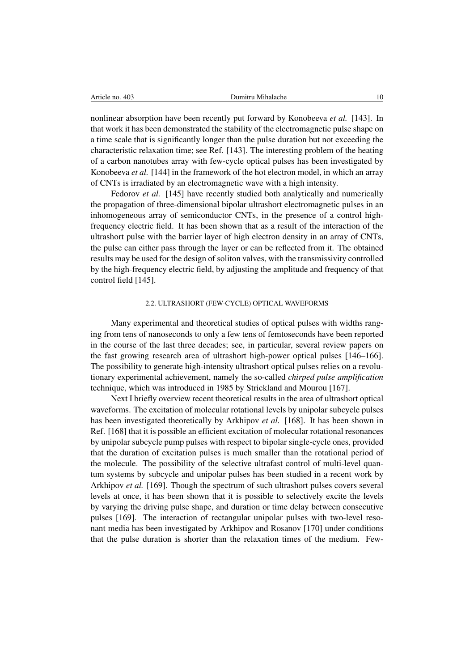| Article no. 403 |  |  |
|-----------------|--|--|
|-----------------|--|--|

nonlinear absorption have been recently put forward by Konobeeva *et al.* [143]. In that work it has been demonstrated the stability of the electromagnetic pulse shape on a time scale that is significantly longer than the pulse duration but not exceeding the characteristic relaxation time; see Ref. [143]. The interesting problem of the heating of a carbon nanotubes array with few-cycle optical pulses has been investigated by Konobeeva *et al.* [144] in the framework of the hot electron model, in which an array of CNTs is irradiated by an electromagnetic wave with a high intensity.

Fedorov *et al.* [145] have recently studied both analytically and numerically the propagation of three-dimensional bipolar ultrashort electromagnetic pulses in an inhomogeneous array of semiconductor CNTs, in the presence of a control highfrequency electric field. It has been shown that as a result of the interaction of the ultrashort pulse with the barrier layer of high electron density in an array of CNTs, the pulse can either pass through the layer or can be reflected from it. The obtained results may be used for the design of soliton valves, with the transmissivity controlled by the high-frequency electric field, by adjusting the amplitude and frequency of that control field [145].

## 2.2. ULTRASHORT (FEW-CYCLE) OPTICAL WAVEFORMS

Many experimental and theoretical studies of optical pulses with widths ranging from tens of nanoseconds to only a few tens of femtoseconds have been reported in the course of the last three decades; see, in particular, several review papers on the fast growing research area of ultrashort high-power optical pulses [146–166]. The possibility to generate high-intensity ultrashort optical pulses relies on a revolutionary experimental achievement, namely the so-called *chirped pulse amplification* technique, which was introduced in 1985 by Strickland and Mourou [167].

Next I briefly overview recent theoretical results in the area of ultrashort optical waveforms. The excitation of molecular rotational levels by unipolar subcycle pulses has been investigated theoretically by Arkhipov *et al.* [168]. It has been shown in Ref. [168] that it is possible an efficient excitation of molecular rotational resonances by unipolar subcycle pump pulses with respect to bipolar single-cycle ones, provided that the duration of excitation pulses is much smaller than the rotational period of the molecule. The possibility of the selective ultrafast control of multi-level quantum systems by subcycle and unipolar pulses has been studied in a recent work by Arkhipov *et al.* [169]. Though the spectrum of such ultrashort pulses covers several levels at once, it has been shown that it is possible to selectively excite the levels by varying the driving pulse shape, and duration or time delay between consecutive pulses [169]. The interaction of rectangular unipolar pulses with two-level resonant media has been investigated by Arkhipov and Rosanov [170] under conditions that the pulse duration is shorter than the relaxation times of the medium. Few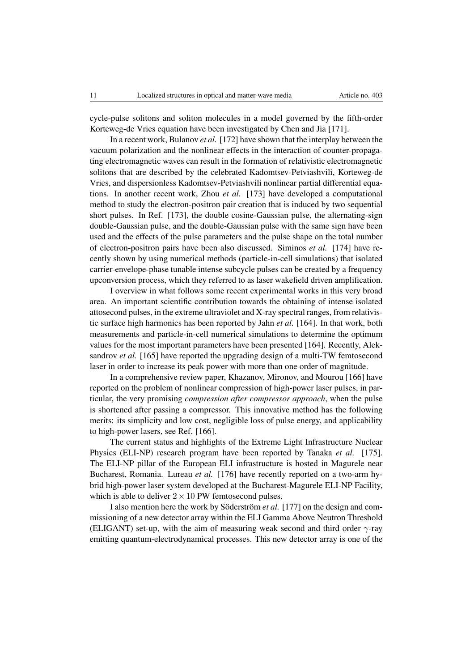cycle-pulse solitons and soliton molecules in a model governed by the fifth-order Korteweg-de Vries equation have been investigated by Chen and Jia [171].

In a recent work, Bulanov *et al.* [172] have shown that the interplay between the vacuum polarization and the nonlinear effects in the interaction of counter-propagating electromagnetic waves can result in the formation of relativistic electromagnetic solitons that are described by the celebrated Kadomtsev-Petviashvili, Korteweg-de Vries, and dispersionless Kadomtsev-Petviashvili nonlinear partial differential equations. In another recent work, Zhou *et al.* [173] have developed a computational method to study the electron-positron pair creation that is induced by two sequential short pulses. In Ref. [173], the double cosine-Gaussian pulse, the alternating-sign double-Gaussian pulse, and the double-Gaussian pulse with the same sign have been used and the effects of the pulse parameters and the pulse shape on the total number of electron-positron pairs have been also discussed. Siminos *et al.* [174] have recently shown by using numerical methods (particle-in-cell simulations) that isolated carrier-envelope-phase tunable intense subcycle pulses can be created by a frequency upconversion process, which they referred to as laser wakefield driven amplification.

I overview in what follows some recent experimental works in this very broad area. An important scientific contribution towards the obtaining of intense isolated attosecond pulses, in the extreme ultraviolet and X-ray spectral ranges, from relativistic surface high harmonics has been reported by Jahn *et al.* [164]. In that work, both measurements and particle-in-cell numerical simulations to determine the optimum values for the most important parameters have been presented [164]. Recently, Aleksandrov *et al.* [165] have reported the upgrading design of a multi-TW femtosecond laser in order to increase its peak power with more than one order of magnitude.

In a comprehensive review paper, Khazanov, Mironov, and Mourou [166] have reported on the problem of nonlinear compression of high-power laser pulses, in particular, the very promising *compression after compressor approach*, when the pulse is shortened after passing a compressor. This innovative method has the following merits: its simplicity and low cost, negligible loss of pulse energy, and applicability to high-power lasers, see Ref. [166].

The current status and highlights of the Extreme Light Infrastructure Nuclear Physics (ELI-NP) research program have been reported by Tanaka *et al.* [175]. The ELI-NP pillar of the European ELI infrastructure is hosted in Magurele near Bucharest, Romania. Lureau *et al.* [176] have recently reported on a two-arm hybrid high-power laser system developed at the Bucharest-Magurele ELI-NP Facility, which is able to deliver  $2 \times 10$  PW femtosecond pulses.

I also mention here the work by Söderström et al. [177] on the design and commissioning of a new detector array within the ELI Gamma Above Neutron Threshold (ELIGANT) set-up, with the aim of measuring weak second and third order  $\gamma$ -ray emitting quantum-electrodynamical processes. This new detector array is one of the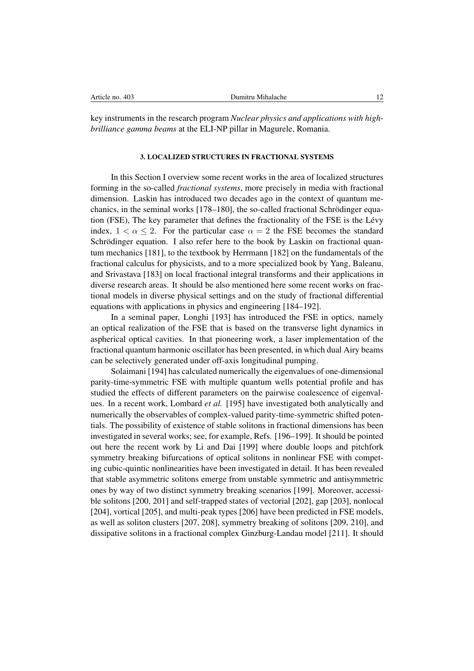| Article no.<br>-403 | Jumitru Mihalache |  |
|---------------------|-------------------|--|
|                     |                   |  |

key instruments in the research program *Nuclear physics and applications with highbrilliance gamma beams* at the ELI-NP pillar in Magurele, Romania.

## 3. LOCALIZED STRUCTURES IN FRACTIONAL SYSTEMS

In this Section I overview some recent works in the area of localized structures forming in the so-called *fractional systems*, more precisely in media with fractional dimension. Laskin has introduced two decades ago in the context of quantum mechanics, in the seminal works [178–180], the so-called fractional Schrödinger equation (FSE), The key parameter that defines the fractionality of the FSE is the Levy ´ index,  $1 < \alpha < 2$ . For the particular case  $\alpha = 2$  the FSE becomes the standard Schrödinger equation. I also refer here to the book by Laskin on fractional quantum mechanics [181], to the textbook by Herrmann [182] on the fundamentals of the fractional calculus for physicists, and to a more specialized book by Yang, Baleanu, and Srivastava [183] on local fractional integral transforms and their applications in diverse research areas. It should be also mentioned here some recent works on fractional models in diverse physical settings and on the study of fractional differential equations with applications in physics and engineering [184–192].

In a seminal paper, Longhi [193] has introduced the FSE in optics, namely an optical realization of the FSE that is based on the transverse light dynamics in aspherical optical cavities. In that pioneering work, a laser implementation of the fractional quantum harmonic oscillator has been presented, in which dual Airy beams can be selectively generated under off-axis longitudinal pumping.

Solaimani [194] has calculated numerically the eigenvalues of one-dimensional parity-time-symmetric FSE with multiple quantum wells potential profile and has studied the effects of different parameters on the pairwise coalescence of eigenvalues. In a recent work, Lombard *et al.* [195] have investigated both analytically and numerically the observables of complex-valued parity-time-symmetric shifted potentials. The possibility of existence of stable solitons in fractional dimensions has been investigated in several works; see, for example, Refs. [196–199]. It should be pointed out here the recent work by Li and Dai [199] where double loops and pitchfork symmetry breaking bifurcations of optical solitons in nonlinear FSE with competing cubic-quintic nonlinearities have been investigated in detail. It has been revealed that stable asymmetric solitons emerge from unstable symmetric and antisymmetric ones by way of two distinct symmetry breaking scenarios [199]. Moreover, accessible solitons [200, 201] and self-trapped states of vectorial [202], gap [203], nonlocal [204], vortical [205], and multi-peak types [206] have been predicted in FSE models, as well as soliton clusters [207, 208], symmetry breaking of solitons [209, 210], and dissipative solitons in a fractional complex Ginzburg-Landau model [211]. It should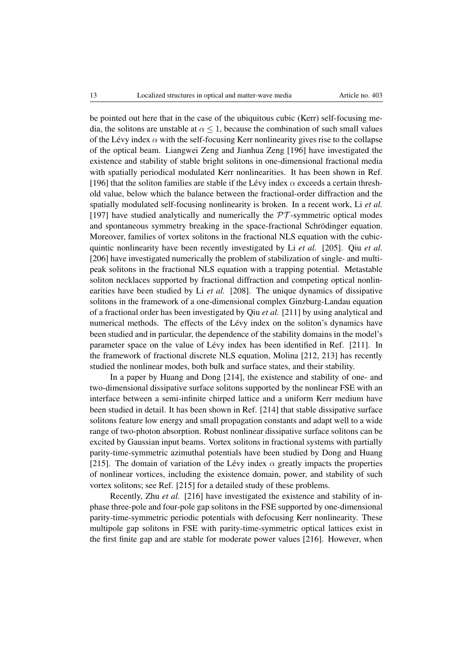be pointed out here that in the case of the ubiquitous cubic (Kerr) self-focusing media, the solitons are unstable at  $\alpha \leq 1$ , because the combination of such small values of the Lévy index  $\alpha$  with the self-focusing Kerr nonlinearity gives rise to the collapse of the optical beam. Liangwei Zeng and Jianhua Zeng [196] have investigated the existence and stability of stable bright solitons in one-dimensional fractional media with spatially periodical modulated Kerr nonlinearities. It has been shown in Ref. [196] that the soliton families are stable if the Lévy index  $\alpha$  exceeds a certain threshold value, below which the balance between the fractional-order diffraction and the spatially modulated self-focusing nonlinearity is broken. In a recent work, Li *et al.* [197] have studied analytically and numerically the  $PT$ -symmetric optical modes and spontaneous symmetry breaking in the space-fractional Schrödinger equation. Moreover, families of vortex solitons in the fractional NLS equation with the cubicquintic nonlinearity have been recently investigated by Li *et al.* [205]. Qiu *et al.* [206] have investigated numerically the problem of stabilization of single- and multipeak solitons in the fractional NLS equation with a trapping potential. Metastable soliton necklaces supported by fractional diffraction and competing optical nonlinearities have been studied by Li *et al.* [208]. The unique dynamics of dissipative solitons in the framework of a one-dimensional complex Ginzburg-Landau equation of a fractional order has been investigated by Qiu *et al.* [211] by using analytical and numerical methods. The effects of the Lévy index on the soliton's dynamics have been studied and in particular, the dependence of the stability domains in the model's parameter space on the value of Lévy index has been identified in Ref. [211]. In the framework of fractional discrete NLS equation, Molina [212, 213] has recently studied the nonlinear modes, both bulk and surface states, and their stability.

In a paper by Huang and Dong [214], the existence and stability of one- and two-dimensional dissipative surface solitons supported by the nonlinear FSE with an interface between a semi-infinite chirped lattice and a uniform Kerr medium have been studied in detail. It has been shown in Ref. [214] that stable dissipative surface solitons feature low energy and small propagation constants and adapt well to a wide range of two-photon absorption. Robust nonlinear dissipative surface solitons can be excited by Gaussian input beams. Vortex solitons in fractional systems with partially parity-time-symmetric azimuthal potentials have been studied by Dong and Huang [215]. The domain of variation of the Lévy index  $\alpha$  greatly impacts the properties of nonlinear vortices, including the existence domain, power, and stability of such vortex solitons; see Ref. [215] for a detailed study of these problems.

Recently, Zhu *et al.* [216] have investigated the existence and stability of inphase three-pole and four-pole gap solitons in the FSE supported by one-dimensional parity-time-symmetric periodic potentials with defocusing Kerr nonlinearity. These multipole gap solitons in FSE with parity-time-symmetric optical lattices exist in the first finite gap and are stable for moderate power values [216]. However, when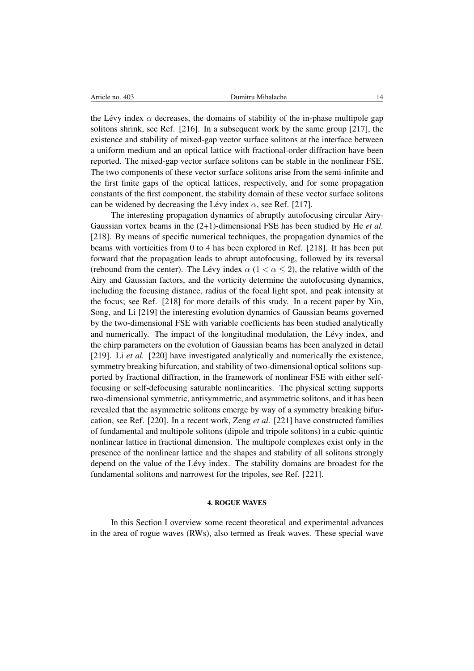the Lévy index  $\alpha$  decreases, the domains of stability of the in-phase multipole gap solitons shrink, see Ref. [216]. In a subsequent work by the same group [217], the existence and stability of mixed-gap vector surface solitons at the interface between a uniform medium and an optical lattice with fractional-order diffraction have been reported. The mixed-gap vector surface solitons can be stable in the nonlinear FSE. The two components of these vector surface solitons arise from the semi-infinite and the first finite gaps of the optical lattices, respectively, and for some propagation constants of the first component, the stability domain of these vector surface solitons can be widened by decreasing the Lévy index  $\alpha$ , see Ref. [217].

The interesting propagation dynamics of abruptly autofocusing circular Airy-Gaussian vortex beams in the (2+1)-dimensional FSE has been studied by He *et al.* [218]. By means of specific numerical techniques, the propagation dynamics of the beams with vorticities from 0 to 4 has been explored in Ref. [218]. It has been put forward that the propagation leads to abrupt autofocusing, followed by its reversal (rebound from the center). The Lévy index  $\alpha$  ( $1 < \alpha < 2$ ), the relative width of the Airy and Gaussian factors, and the vorticity determine the autofocusing dynamics, including the focusing distance, radius of the focal light spot, and peak intensity at the focus; see Ref. [218] for more details of this study. In a recent paper by Xin, Song, and Li [219] the interesting evolution dynamics of Gaussian beams governed by the two-dimensional FSE with variable coefficients has been studied analytically and numerically. The impact of the longitudinal modulation, the Lévy index, and the chirp parameters on the evolution of Gaussian beams has been analyzed in detail [219]. Li *et al.* [220] have investigated analytically and numerically the existence, symmetry breaking bifurcation, and stability of two-dimensional optical solitons supported by fractional diffraction, in the framework of nonlinear FSE with either selffocusing or self-defocusing saturable nonlinearities. The physical setting supports two-dimensional symmetric, antisymmetric, and asymmetric solitons, and it has been revealed that the asymmetric solitons emerge by way of a symmetry breaking bifurcation, see Ref. [220]. In a recent work, Zeng *et al.* [221] have constructed families of fundamental and multipole solitons (dipole and tripole solitons) in a cubic-quintic nonlinear lattice in fractional dimension. The multipole complexes exist only in the presence of the nonlinear lattice and the shapes and stability of all solitons strongly depend on the value of the Lévy index. The stability domains are broadest for the fundamental solitons and narrowest for the tripoles, see Ref. [221].

### 4. ROGUE WAVES

In this Section I overview some recent theoretical and experimental advances in the area of rogue waves (RWs), also termed as freak waves. These special wave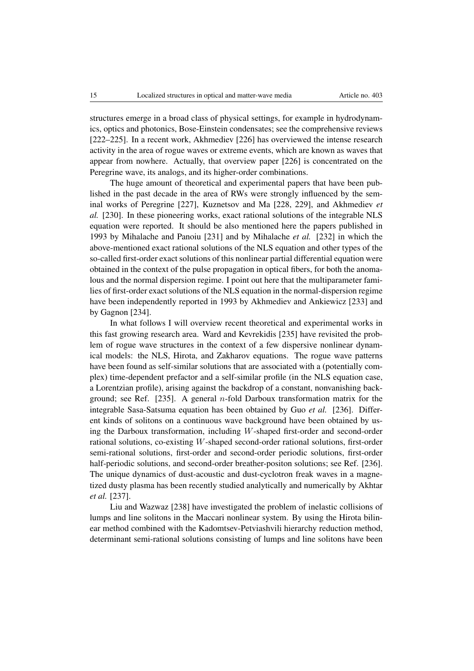structures emerge in a broad class of physical settings, for example in hydrodynamics, optics and photonics, Bose-Einstein condensates; see the comprehensive reviews [222–225]. In a recent work, Akhmediev [226] has overviewed the intense research activity in the area of rogue waves or extreme events, which are known as waves that appear from nowhere. Actually, that overview paper [226] is concentrated on the Peregrine wave, its analogs, and its higher-order combinations.

The huge amount of theoretical and experimental papers that have been published in the past decade in the area of RWs were strongly influenced by the seminal works of Peregrine [227], Kuznetsov and Ma [228, 229], and Akhmediev *et al.* [230]. In these pioneering works, exact rational solutions of the integrable NLS equation were reported. It should be also mentioned here the papers published in 1993 by Mihalache and Panoiu [231] and by Mihalache *et al.* [232] in which the above-mentioned exact rational solutions of the NLS equation and other types of the so-called first-order exact solutions of this nonlinear partial differential equation were obtained in the context of the pulse propagation in optical fibers, for both the anomalous and the normal dispersion regime. I point out here that the multiparameter families of first-order exact solutions of the NLS equation in the normal-dispersion regime have been independently reported in 1993 by Akhmediev and Ankiewicz [233] and by Gagnon [234].

In what follows I will overview recent theoretical and experimental works in this fast growing research area. Ward and Kevrekidis [235] have revisited the problem of rogue wave structures in the context of a few dispersive nonlinear dynamical models: the NLS, Hirota, and Zakharov equations. The rogue wave patterns have been found as self-similar solutions that are associated with a (potentially complex) time-dependent prefactor and a self-similar profile (in the NLS equation case, a Lorentzian profile), arising against the backdrop of a constant, nonvanishing background; see Ref. [235]. A general *n*-fold Darboux transformation matrix for the integrable Sasa-Satsuma equation has been obtained by Guo *et al.* [236]. Different kinds of solitons on a continuous wave background have been obtained by using the Darboux transformation, including *W*-shaped first-order and second-order rational solutions, co-existing *W*-shaped second-order rational solutions, first-order semi-rational solutions, first-order and second-order periodic solutions, first-order half-periodic solutions, and second-order breather-positon solutions; see Ref. [236]. The unique dynamics of dust-acoustic and dust-cyclotron freak waves in a magnetized dusty plasma has been recently studied analytically and numerically by Akhtar *et al.* [237].

Liu and Wazwaz [238] have investigated the problem of inelastic collisions of lumps and line solitons in the Maccari nonlinear system. By using the Hirota bilinear method combined with the Kadomtsev-Petviashvili hierarchy reduction method, determinant semi-rational solutions consisting of lumps and line solitons have been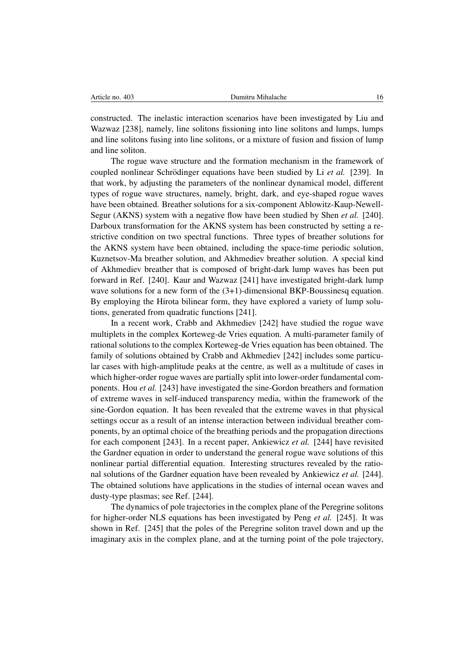| Article no. 403 |  |
|-----------------|--|
|                 |  |

constructed. The inelastic interaction scenarios have been investigated by Liu and Wazwaz [238], namely, line solitons fissioning into line solitons and lumps, lumps and line solitons fusing into line solitons, or a mixture of fusion and fission of lump and line soliton.

The rogue wave structure and the formation mechanism in the framework of coupled nonlinear Schrödinger equations have been studied by Li *et al.* [239]. In that work, by adjusting the parameters of the nonlinear dynamical model, different types of rogue wave structures, namely, bright, dark, and eye-shaped rogue waves have been obtained. Breather solutions for a six-component Ablowitz-Kaup-Newell-Segur (AKNS) system with a negative flow have been studied by Shen *et al.* [240]. Darboux transformation for the AKNS system has been constructed by setting a restrictive condition on two spectral functions. Three types of breather solutions for the AKNS system have been obtained, including the space-time periodic solution, Kuznetsov-Ma breather solution, and Akhmediev breather solution. A special kind of Akhmediev breather that is composed of bright-dark lump waves has been put forward in Ref. [240]. Kaur and Wazwaz [241] have investigated bright-dark lump wave solutions for a new form of the  $(3+1)$ -dimensional BKP-Boussinesq equation. By employing the Hirota bilinear form, they have explored a variety of lump solutions, generated from quadratic functions [241].

In a recent work, Crabb and Akhmediev [242] have studied the rogue wave multiplets in the complex Korteweg-de Vries equation. A multi-parameter family of rational solutions to the complex Korteweg-de Vries equation has been obtained. The family of solutions obtained by Crabb and Akhmediev [242] includes some particular cases with high-amplitude peaks at the centre, as well as a multitude of cases in which higher-order rogue waves are partially split into lower-order fundamental components. Hou *et al.* [243] have investigated the sine-Gordon breathers and formation of extreme waves in self-induced transparency media, within the framework of the sine-Gordon equation. It has been revealed that the extreme waves in that physical settings occur as a result of an intense interaction between individual breather components, by an optimal choice of the breathing periods and the propagation directions for each component [243]. In a recent paper, Ankiewicz *et al.* [244] have revisited the Gardner equation in order to understand the general rogue wave solutions of this nonlinear partial differential equation. Interesting structures revealed by the rational solutions of the Gardner equation have been revealed by Ankiewicz *et al.* [244]. The obtained solutions have applications in the studies of internal ocean waves and dusty-type plasmas; see Ref. [244].

The dynamics of pole trajectories in the complex plane of the Peregrine solitons for higher-order NLS equations has been investigated by Peng *et al.* [245]. It was shown in Ref. [245] that the poles of the Peregrine soliton travel down and up the imaginary axis in the complex plane, and at the turning point of the pole trajectory,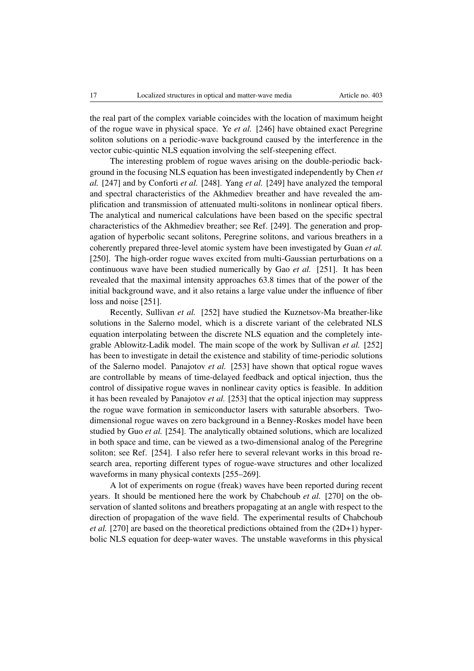the real part of the complex variable coincides with the location of maximum height of the rogue wave in physical space. Ye *et al.* [246] have obtained exact Peregrine soliton solutions on a periodic-wave background caused by the interference in the vector cubic-quintic NLS equation involving the self-steepening effect.

The interesting problem of rogue waves arising on the double-periodic background in the focusing NLS equation has been investigated independently by Chen *et al.* [247] and by Conforti *et al.* [248]. Yang *et al.* [249] have analyzed the temporal and spectral characteristics of the Akhmediev breather and have revealed the amplification and transmission of attenuated multi-solitons in nonlinear optical fibers. The analytical and numerical calculations have been based on the specific spectral characteristics of the Akhmediev breather; see Ref. [249]. The generation and propagation of hyperbolic secant solitons, Peregrine solitons, and various breathers in a coherently prepared three-level atomic system have been investigated by Guan *et al.* [250]. The high-order rogue waves excited from multi-Gaussian perturbations on a continuous wave have been studied numerically by Gao *et al.* [251]. It has been revealed that the maximal intensity approaches 63.8 times that of the power of the initial background wave, and it also retains a large value under the influence of fiber loss and noise [251].

Recently, Sullivan *et al.* [252] have studied the Kuznetsov-Ma breather-like solutions in the Salerno model, which is a discrete variant of the celebrated NLS equation interpolating between the discrete NLS equation and the completely integrable Ablowitz-Ladik model. The main scope of the work by Sullivan *et al.* [252] has been to investigate in detail the existence and stability of time-periodic solutions of the Salerno model. Panajotov *et al.* [253] have shown that optical rogue waves are controllable by means of time-delayed feedback and optical injection, thus the control of dissipative rogue waves in nonlinear cavity optics is feasible. In addition it has been revealed by Panajotov *et al.* [253] that the optical injection may suppress the rogue wave formation in semiconductor lasers with saturable absorbers. Twodimensional rogue waves on zero background in a Benney-Roskes model have been studied by Guo *et al.* [254]. The analytically obtained solutions, which are localized in both space and time, can be viewed as a two-dimensional analog of the Peregrine soliton; see Ref. [254]. I also refer here to several relevant works in this broad research area, reporting different types of rogue-wave structures and other localized waveforms in many physical contexts [255–269].

A lot of experiments on rogue (freak) waves have been reported during recent years. It should be mentioned here the work by Chabchoub *et al.* [270] on the observation of slanted solitons and breathers propagating at an angle with respect to the direction of propagation of the wave field. The experimental results of Chabchoub *et al.* [270] are based on the theoretical predictions obtained from the (2D+1) hyperbolic NLS equation for deep-water waves. The unstable waveforms in this physical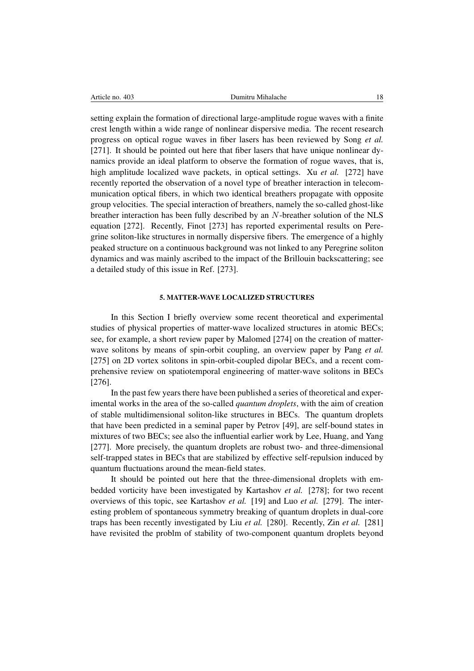|  | Article no. 403 |  |  |
|--|-----------------|--|--|
|--|-----------------|--|--|

setting explain the formation of directional large-amplitude rogue waves with a finite crest length within a wide range of nonlinear dispersive media. The recent research progress on optical rogue waves in fiber lasers has been reviewed by Song *et al.* [271]. It should be pointed out here that fiber lasers that have unique nonlinear dynamics provide an ideal platform to observe the formation of rogue waves, that is, high amplitude localized wave packets, in optical settings. Xu *et al.* [272] have recently reported the observation of a novel type of breather interaction in telecommunication optical fibers, in which two identical breathers propagate with opposite group velocities. The special interaction of breathers, namely the so-called ghost-like breather interaction has been fully described by an *N*-breather solution of the NLS equation [272]. Recently, Finot [273] has reported experimental results on Peregrine soliton-like structures in normally dispersive fibers. The emergence of a highly peaked structure on a continuous background was not linked to any Peregrine soliton dynamics and was mainly ascribed to the impact of the Brillouin backscattering; see a detailed study of this issue in Ref. [273].

### 5. MATTER-WAVE LOCALIZED STRUCTURES

In this Section I briefly overview some recent theoretical and experimental studies of physical properties of matter-wave localized structures in atomic BECs; see, for example, a short review paper by Malomed [274] on the creation of matterwave solitons by means of spin-orbit coupling, an overview paper by Pang *et al.* [275] on 2D vortex solitons in spin-orbit-coupled dipolar BECs, and a recent comprehensive review on spatiotemporal engineering of matter-wave solitons in BECs [276].

In the past few years there have been published a series of theoretical and experimental works in the area of the so-called *quantum droplets*, with the aim of creation of stable multidimensional soliton-like structures in BECs. The quantum droplets that have been predicted in a seminal paper by Petrov [49], are self-bound states in mixtures of two BECs; see also the influential earlier work by Lee, Huang, and Yang [277]. More precisely, the quantum droplets are robust two- and three-dimensional self-trapped states in BECs that are stabilized by effective self-repulsion induced by quantum fluctuations around the mean-field states.

It should be pointed out here that the three-dimensional droplets with embedded vorticity have been investigated by Kartashov *et al.* [278]; for two recent overviews of this topic, see Kartashov *et al.* [19] and Luo *et al.* [279]. The interesting problem of spontaneous symmetry breaking of quantum droplets in dual-core traps has been recently investigated by Liu *et al.* [280]. Recently, Zin *et al.* [281] have revisited the problm of stability of two-component quantum droplets beyond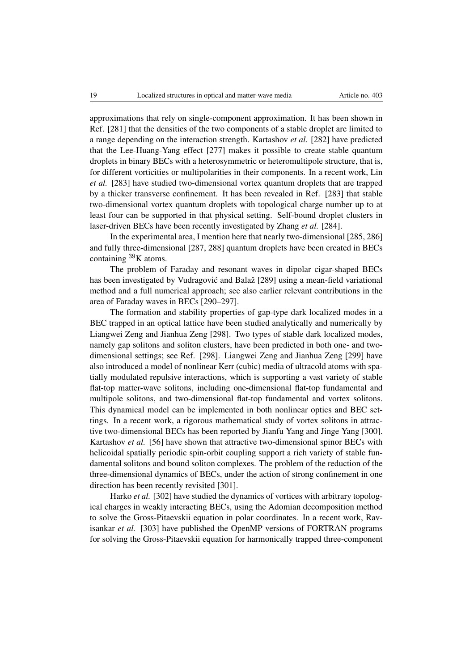approximations that rely on single-component approximation. It has been shown in Ref. [281] that the densities of the two components of a stable droplet are limited to a range depending on the interaction strength. Kartashov *et al.* [282] have predicted that the Lee-Huang-Yang effect [277] makes it possible to create stable quantum droplets in binary BECs with a heterosymmetric or heteromultipole structure, that is, for different vorticities or multipolarities in their components. In a recent work, Lin *et al.* [283] have studied two-dimensional vortex quantum droplets that are trapped by a thicker transverse confinement. It has been revealed in Ref. [283] that stable two-dimensional vortex quantum droplets with topological charge number up to at least four can be supported in that physical setting. Self-bound droplet clusters in laser-driven BECs have been recently investigated by Zhang *et al.* [284].

In the experimental area, I mention here that nearly two-dimensional [285, 286] and fully three-dimensional [287, 288] quantum droplets have been created in BECs containing <sup>39</sup>K atoms.

The problem of Faraday and resonant waves in dipolar cigar-shaped BECs has been investigated by Vudragović and Balaž [289] using a mean-field variational method and a full numerical approach; see also earlier relevant contributions in the area of Faraday waves in BECs [290–297].

The formation and stability properties of gap-type dark localized modes in a BEC trapped in an optical lattice have been studied analytically and numerically by Liangwei Zeng and Jianhua Zeng [298]. Two types of stable dark localized modes, namely gap solitons and soliton clusters, have been predicted in both one- and twodimensional settings; see Ref. [298]. Liangwei Zeng and Jianhua Zeng [299] have also introduced a model of nonlinear Kerr (cubic) media of ultracold atoms with spatially modulated repulsive interactions, which is supporting a vast variety of stable flat-top matter-wave solitons, including one-dimensional flat-top fundamental and multipole solitons, and two-dimensional flat-top fundamental and vortex solitons. This dynamical model can be implemented in both nonlinear optics and BEC settings. In a recent work, a rigorous mathematical study of vortex solitons in attractive two-dimensional BECs has been reported by Jianfu Yang and Jinge Yang [300]. Kartashov *et al.* [56] have shown that attractive two-dimensional spinor BECs with helicoidal spatially periodic spin-orbit coupling support a rich variety of stable fundamental solitons and bound soliton complexes. The problem of the reduction of the three-dimensional dynamics of BECs, under the action of strong confinement in one direction has been recently revisited [301].

Harko *et al.* [302] have studied the dynamics of vortices with arbitrary topological charges in weakly interacting BECs, using the Adomian decomposition method to solve the Gross-Pitaevskii equation in polar coordinates. In a recent work, Ravisankar *et al.* [303] have published the OpenMP versions of FORTRAN programs for solving the Gross-Pitaevskii equation for harmonically trapped three-component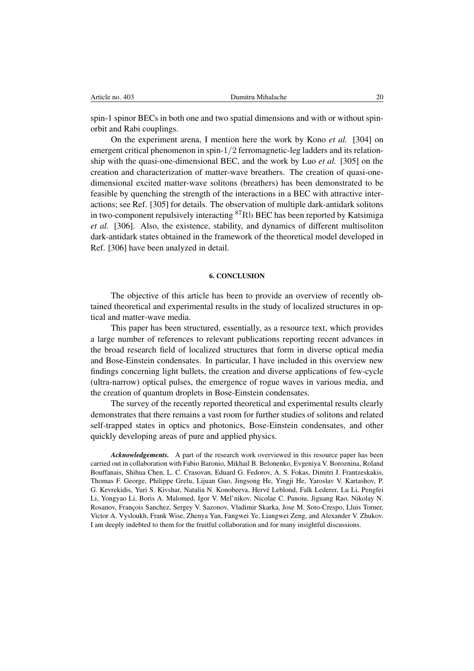spin-1 spinor BECs in both one and two spatial dimensions and with or without spinorbit and Rabi couplings.

On the experiment arena, I mention here the work by Kono *et al.* [304] on emergent critical phenomenon in spin-1*/*2 ferromagnetic-leg ladders and its relationship with the quasi-one-dimensional BEC, and the work by Luo *et al.* [305] on the creation and characterization of matter-wave breathers. The creation of quasi-onedimensional excited matter-wave solitons (breathers) has been demonstrated to be feasible by quenching the strength of the interactions in a BEC with attractive interactions; see Ref. [305] for details. The observation of multiple dark-antidark solitons in two-component repulsively interacting  ${}^{87}$ Rb BEC has been reported by Katsimiga *et al.* [306]. Also, the existence, stability, and dynamics of different multisoliton dark-antidark states obtained in the framework of the theoretical model developed in Ref. [306] have been analyzed in detail.

## 6. CONCLUSION

The objective of this article has been to provide an overview of recently obtained theoretical and experimental results in the study of localized structures in optical and matter-wave media.

This paper has been structured, essentially, as a resource text, which provides a large number of references to relevant publications reporting recent advances in the broad research field of localized structures that form in diverse optical media and Bose-Einstein condensates. In particular, I have included in this overview new findings concerning light bullets, the creation and diverse applications of few-cycle (ultra-narrow) optical pulses, the emergence of rogue waves in various media, and the creation of quantum droplets in Bose-Einstein condensates.

The survey of the recently reported theoretical and experimental results clearly demonstrates that there remains a vast room for further studies of solitons and related self-trapped states in optics and photonics, Bose-Einstein condensates, and other quickly developing areas of pure and applied physics.

*Acknowledgements.* A part of the research work overviewed in this resource paper has been carried out in collaboration with Fabio Baronio, Mikhail B. Belonenko, Evgeniya V. Boroznina, Roland Bouffanais, Shihua Chen, L. C. Crasovan, Eduard G. Fedorov, A. S. Fokas, Dimitri J. Frantzeskakis, Thomas F. George, Philippe Grelu, Lijuan Guo, Jingsong He, Yingji He, Yaroslav V. Kartashov, P. G. Kevrekidis, Yuri S. Kivshar, Natalia N. Konobeeva, Herve Leblond, Falk Lederer, Lu Li, Pengfei ´ Li, Yongyao Li, Boris A. Malomed, Igor V. Mel'nikov, Nicolae C. Panoiu, Jiguang Rao, Nikolay N. Rosanov, François Sanchez, Sergey V. Sazonov, Vladimir Skarka, Jose M. Soto-Crespo, Lluis Torner, Victor A. Vysloukh, Frank Wise, Zhenya Yan, Fangwei Ye, Liangwei Zeng, and Alexander V. Zhukov. I am deeply indebted to them for the fruitful collaboration and for many insightful discussions.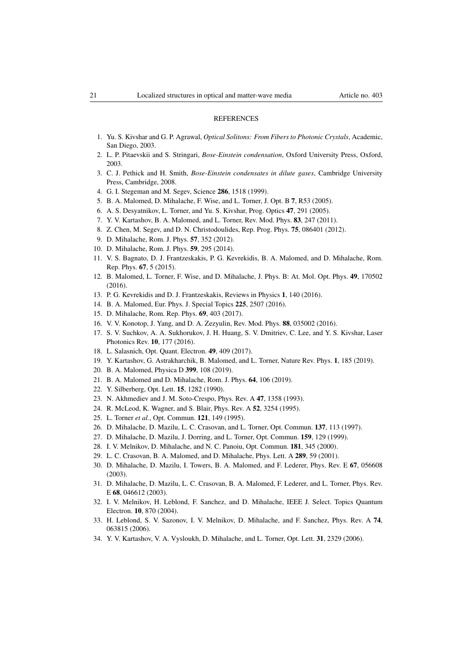### **REFERENCES**

- 1. Yu. S. Kivshar and G. P. Agrawal, *Optical Solitons: From Fibers to Photonic Crystals*, Academic, San Diego, 2003.
- 2. L. P. Pitaevskii and S. Stringari, *Bose-Einstein condensation*, Oxford University Press, Oxford, 2003.
- 3. C. J. Pethick and H. Smith, *Bose-Einstein condensates in dilute gases*, Cambridge University Press, Cambridge, 2008.
- 4. G. I. Stegeman and M. Segev, Science 286, 1518 (1999).
- 5. B. A. Malomed, D. Mihalache, F. Wise, and L. Torner, J. Opt. B 7, R53 (2005).
- 6. A. S. Desyatnikov, L. Torner, and Yu. S. Kivshar, Prog. Optics 47, 291 (2005).
- 7. Y. V. Kartashov, B. A. Malomed, and L. Torner, Rev. Mod. Phys. 83, 247 (2011).
- 8. Z. Chen, M. Segev, and D. N. Christodoulides, Rep. Prog. Phys. 75, 086401 (2012).
- 9. D. Mihalache, Rom. J. Phys. 57, 352 (2012).
- 10. D. Mihalache, Rom. J. Phys. 59, 295 (2014).
- 11. V. S. Bagnato, D. J. Frantzeskakis, P. G. Kevrekidis, B. A. Malomed, and D. Mihalache, Rom. Rep. Phys. 67, 5 (2015).
- 12. B. Malomed, L. Torner, F. Wise, and D. Mihalache, J. Phys. B: At. Mol. Opt. Phys. 49, 170502  $(2016)$ .
- 13. P. G. Kevrekidis and D. J. Frantzeskakis, Reviews in Physics 1, 140 (2016).
- 14. B. A. Malomed, Eur. Phys. J. Special Topics 225, 2507 (2016).
- 15. D. Mihalache, Rom. Rep. Phys. 69, 403 (2017).
- 16. V. V. Konotop, J. Yang, and D. A. Zezyulin, Rev. Mod. Phys. 88, 035002 (2016).
- 17. S. V. Suchkov, A. A. Sukhorukov, J. H. Huang, S. V. Dmitriev, C. Lee, and Y. S. Kivshar, Laser Photonics Rev. 10, 177 (2016).
- 18. L. Salasnich, Opt. Quant. Electron. 49, 409 (2017).
- 19. Y. Kartashov, G. Astrakharchik, B. Malomed, and L. Torner, Nature Rev. Phys. 1, 185 (2019).
- 20. B. A. Malomed, Physica D 399, 108 (2019).
- 21. B. A. Malomed and D. Mihalache, Rom. J. Phys. 64, 106 (2019).
- 22. Y. Silberberg, Opt. Lett. 15, 1282 (1990).
- 23. N. Akhmediev and J. M. Soto-Crespo, Phys. Rev. A 47, 1358 (1993).
- 24. R. McLeod, K. Wagner, and S. Blair, Phys. Rev. A 52, 3254 (1995).
- 25. L. Torner *et al.*, Opt. Commun. 121, 149 (1995).
- 26. D. Mihalache, D. Mazilu, L. C. Crasovan, and L. Torner, Opt. Commun. 137, 113 (1997).
- 27. D. Mihalache, D. Mazilu, J. Dorring, and L. Torner, Opt. Commun. 159, 129 (1999).
- 28. I. V. Melnikov, D. Mihalache, and N. C. Panoiu, Opt. Commun. 181, 345 (2000).
- 29. L. C. Crasovan, B. A. Malomed, and D. Mihalache, Phys. Lett. A 289, 59 (2001).
- 30. D. Mihalache, D. Mazilu, I. Towers, B. A. Malomed, and F. Lederer, Phys. Rev. E 67, 056608 (2003).
- 31. D. Mihalache, D. Mazilu, L. C. Crasovan, B. A. Malomed, F. Lederer, and L. Torner, Phys. Rev. E 68, 046612 (2003).
- 32. I. V. Melnikov, H. Leblond, F. Sanchez, and D. Mihalache, IEEE J. Select. Topics Quantum Electron. 10, 870 (2004).
- 33. H. Leblond, S. V. Sazonov, I. V. Melnikov, D. Mihalache, and F. Sanchez, Phys. Rev. A 74, 063815 (2006).
- 34. Y. V. Kartashov, V. A. Vysloukh, D. Mihalache, and L. Torner, Opt. Lett. 31, 2329 (2006).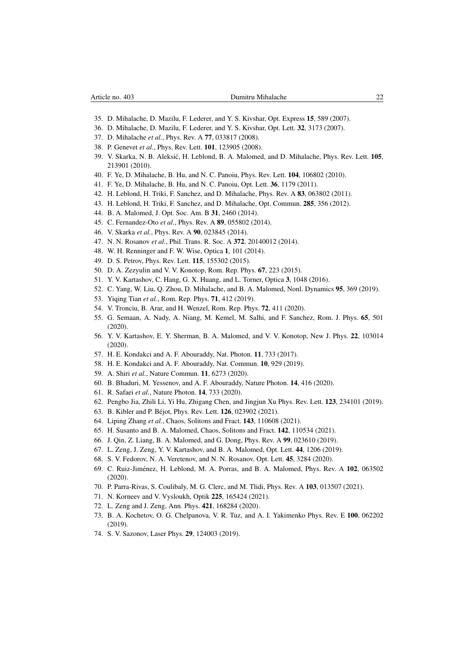- 35. D. Mihalache, D. Mazilu, F. Lederer, and Y. S. Kivshar, Opt. Express 15, 589 (2007).
- 36. D. Mihalache, D. Mazilu, F. Lederer, and Y. S. Kivshar, Opt. Lett. 32, 3173 (2007).
- 37. D. Mihalache *et al.*, Phys. Rev. A 77, 033817 (2008).
- 38. P. Genevet *et al.*, Phys. Rev. Lett. 101, 123905 (2008).
- 39. V. Skarka, N. B. Aleksić, H. Leblond, B. A. Malomed, and D. Mihalache, Phys. Rev. Lett. 105, 213901 (2010).
- 40. F. Ye, D. Mihalache, B. Hu, and N. C. Panoiu, Phys. Rev. Lett. 104, 106802 (2010).
- 41. F. Ye, D. Mihalache, B. Hu, and N. C. Panoiu, Opt. Lett. 36, 1179 (2011).
- 42. H. Leblond, H. Triki, F. Sanchez, and D. Mihalache, Phys. Rev. A 83, 063802 (2011).
- 43. H. Leblond, H. Triki, F. Sanchez, and D. Mihalache, Opt. Commun. 285, 356 (2012).
- 44. B. A. Malomed, J. Opt. Soc. Am. B 31, 2460 (2014).
- 45. C. Fernandez-Oto *et al.*, Phys. Rev. A 89, 055802 (2014).
- 46. V. Skarka *et al.*, Phys. Rev. A 90, 023845 (2014).
- 47. N. N. Rosanov *et al.*, Phil. Trans. R. Soc. A 372, 20140012 (2014).
- 48. W. H. Renninger and F. W. Wise, Optica 1, 101 (2014).
- 49. D. S. Petrov, Phys. Rev. Lett. 115, 155302 (2015).
- 50. D. A. Zezyulin and V. V. Konotop, Rom. Rep. Phys. 67, 223 (2015).
- 51. Y. V. Kartashov, C. Hang, G. X. Huang, and L. Torner, Optica 3, 1048 (2016).
- 52. C. Yang, W. Liu, Q. Zhou, D. Mihalache, and B. A. Malomed, Nonl. Dynamics 95, 369 (2019).
- 53. Yiqing Tian *et al.*, Rom. Rep. Phys. 71, 412 (2019).
- 54. V. Tronciu, B. Arar, and H. Wenzel, Rom. Rep. Phys. 72, 411 (2020).
- 55. G. Semaan, A. Nady, A. Niang, M. Kemel, M. Salhi, and F. Sanchez, Rom. J. Phys. 65, 501 (2020).
- 56. Y. V. Kartashov, E. Y. Sherman, B. A. Malomed, and V. V. Konotop, New J. Phys. 22, 103014 (2020).
- 57. H. E. Kondakci and A. F. Abouraddy, Nat. Photon. 11, 733 (2017).
- 58. H. E. Kondakci and A. F. Abouraddy, Nat. Commun. 10, 929 (2019).
- 59. A. Shiri *et al.*, Nature Commun. 11, 6273 (2020).
- 60. B. Bhaduri, M. Yessenov, and A. F. Abouraddy, Nature Photon. 14, 416 (2020).
- 61. R. Safaei *et al.*, Nature Photon. 14, 733 (2020).
- 62. Pengbo Jia, Zhili Li, Yi Hu, Zhigang Chen, and Jingjun Xu Phys. Rev. Lett. 123, 234101 (2019).
- 63. B. Kibler and P. Béjot, Phys. Rev. Lett. **126**, 023902 (2021).
- 64. Liping Zhang *et al.*, Chaos, Solitons and Fract. 143, 110608 (2021).
- 65. H. Susanto and B. A. Malomed, Chaos, Solitons and Fract. 142, 110534 (2021).
- 66. J. Qin, Z. Liang, B. A. Malomed, and G. Dong, Phys. Rev. A 99, 023610 (2019).
- 67. L. Zeng, J. Zeng, Y. V. Kartashov, and B. A. Malomed, Opt. Lett. 44, 1206 (2019).
- 68. S. V. Fedorov, N. A. Veretenov, and N. N. Rosanov. Opt. Lett. 45, 3284 (2020).
- 69. C. Ruiz-Jiménez, H. Leblond, M. A. Porras, and B. A. Malomed, Phys. Rev. A 102, 063502 (2020).
- 70. P. Parra-Rivas, S. Coulibaly, M. G. Clerc, and M. Tlidi, Phys. Rev. A 103, 013507 (2021).
- 71. N. Korneev and V. Vysloukh, Optik 225, 165424 (2021).
- 72. L. Zeng and J. Zeng, Ann. Phys. 421, 168284 (2020).
- 73. B. A. Kochetov, O. G. Chelpanova, V. R. Tuz, and A. I. Yakimenko Phys. Rev. E 100, 062202 (2019).
- 74. S. V. Sazonov, Laser Phys. 29, 124003 (2019).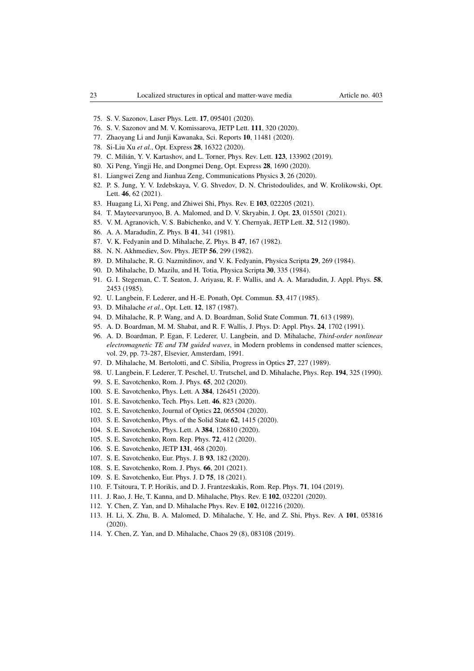- 75. S. V. Sazonov, Laser Phys. Lett. 17, 095401 (2020).
- 76. S. V. Sazonov and M. V. Komissarova, JETP Lett. 111, 320 (2020).
- 77. Zhaoyang Li and Junji Kawanaka, Sci. Reports 10, 11481 (2020).
- 78. Si-Liu Xu *et al.*, Opt. Express 28, 16322 (2020).
- 79. C. Milián, Y. V. Kartashov, and L. Torner, Phys. Rev. Lett. **123**, 133902 (2019).
- 80. Xi Peng, Yingji He, and Dongmei Deng, Opt. Express 28, 1690 (2020).
- 81. Liangwei Zeng and Jianhua Zeng, Communications Physics 3, 26 (2020).
- 82. P. S. Jung, Y. V. Izdebskaya, V. G. Shvedov, D. N. Christodoulides, and W. Krolikowski, Opt. Lett. 46, 62 (2021).
- 83. Huagang Li, Xi Peng, and Zhiwei Shi, Phys. Rev. E 103, 022205 (2021).
- 84. T. Mayteevarunyoo, B. A. Malomed, and D. V. Skryabin, J. Opt. 23, 015501 (2021).
- 85. V. M. Agranovich, V. S. Babichenko, and V. Y. Chernyak, JETP Lett. 32, 512 (1980).
- 86. A. A. Maradudin, Z. Phys. B 41, 341 (1981).
- 87. V. K. Fedyanin and D. Mihalache, Z. Phys. B 47, 167 (1982).
- 88. N. N. Akhmediev, Sov. Phys. JETP 56, 299 (1982).
- 89. D. Mihalache, R. G. Nazmitdinov, and V. K. Fedyanin, Physica Scripta 29, 269 (1984).
- 90. D. Mihalache, D. Mazilu, and H. Totia, Physica Scripta 30, 335 (1984).
- 91. G. I. Stegeman, C. T. Seaton, J. Ariyasu, R. F. Wallis, and A. A. Maradudin, J. Appl. Phys. 58, 2453 (1985).
- 92. U. Langbein, F. Lederer, and H.-E. Ponath, Opt. Commun. 53, 417 (1985).
- 93. D. Mihalache *et al.*, Opt. Lett. 12, 187 (1987).
- 94. D. Mihalache, R. P. Wang, and A. D. Boardman, Solid State Commun. 71, 613 (1989).
- 95. A. D. Boardman, M. M. Shabat, and R. F. Wallis, J. Phys. D: Appl. Phys. 24, 1702 (1991).
- 96. A. D. Boardman, P. Egan, F. Lederer, U. Langbein, and D. Mihalache, *Third-order nonlinear electromagnetic TE and TM guided waves*, in Modern problems in condensed matter sciences, vol. 29, pp. 73-287, Elsevier, Amsterdam, 1991.
- 97. D. Mihalache, M. Bertolotti, and C. Sibilia, Progress in Optics 27, 227 (1989).
- 98. U. Langbein, F. Lederer, T. Peschel, U. Trutschel, and D. Mihalache, Phys. Rep. 194, 325 (1990).
- 99. S. E. Savotchenko, Rom. J. Phys. 65, 202 (2020).
- 100. S. E. Savotchenko, Phys. Lett. A 384, 126451 (2020).
- 101. S. E. Savotchenko, Tech. Phys. Lett. 46, 823 (2020).
- 102. S. E. Savotchenko, Journal of Optics 22, 065504 (2020).
- 103. S. E. Savotchenko, Phys. of the Solid State 62, 1415 (2020).
- 104. S. E. Savotchenko, Phys. Lett. A 384, 126810 (2020).
- 105. S. E. Savotchenko, Rom. Rep. Phys. 72, 412 (2020).
- 106. S. E. Savotchenko, JETP 131, 468 (2020).
- 107. S. E. Savotchenko, Eur. Phys. J. B 93, 182 (2020).
- 108. S. E. Savotchenko, Rom. J. Phys. 66, 201 (2021).
- 109. S. E. Savotchenko, Eur. Phys. J. D 75, 18 (2021).
- 110. F. Tsitoura, T. P. Horikis, and D. J. Frantzeskakis, Rom. Rep. Phys. 71, 104 (2019).
- 111. J. Rao, J. He, T. Kanna, and D. Mihalache, Phys. Rev. E 102, 032201 (2020).
- 112. Y. Chen, Z. Yan, and D. Mihalache Phys. Rev. E 102, 012216 (2020).
- 113. H. Li, X. Zhu, B. A. Malomed, D. Mihalache, Y. He, and Z. Shi, Phys. Rev. A 101, 053816 (2020).
- 114. Y. Chen, Z. Yan, and D. Mihalache, Chaos 29 (8), 083108 (2019).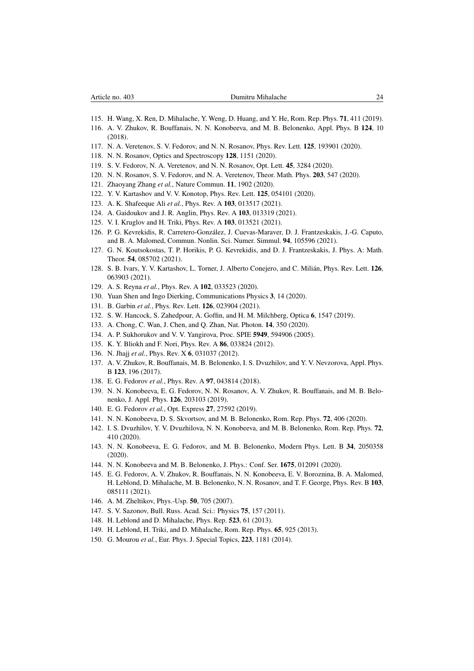- 115. H. Wang, X. Ren, D. Mihalache, Y. Weng, D. Huang, and Y. He, Rom. Rep. Phys. 71, 411 (2019).
- 116. A. V. Zhukov, R. Bouffanais, N. N. Konobeeva, and M. B. Belonenko, Appl. Phys. B 124, 10 (2018).
- 117. N. A. Veretenov, S. V. Fedorov, and N. N. Rosanov, Phys. Rev. Lett. 125, 193901 (2020).
- 118. N. N. Rosanov, Optics and Spectroscopy 128, 1151 (2020).
- 119. S. V. Fedorov, N. A. Veretenov, and N. N. Rosanov, Opt. Lett. 45, 3284 (2020).
- 120. N. N. Rosanov, S. V. Fedorov, and N. A. Veretenov, Theor. Math. Phys. 203, 547 (2020).
- 121. Zhaoyang Zhang *et al.*, Nature Commun. 11, 1902 (2020).
- 122. Y. V. Kartashov and V. V. Konotop, Phys. Rev. Lett. 125, 054101 (2020).
- 123. A. K. Shafeeque Ali *et al.*, Phys. Rev. A 103, 013517 (2021).
- 124. A. Gaidoukov and J. R. Anglin, Phys. Rev. A 103, 013319 (2021).
- 125. V. I. Kruglov and H. Triki, Phys. Rev. A 103, 013521 (2021).
- 126. P. G. Kevrekidis, R. Carretero-Gonzalez, J. Cuevas-Maraver, D. J. Frantzeskakis, J.-G. Caputo, ´ and B. A. Malomed, Commun. Nonlin. Sci. Numer. Simmul. 94, 105596 (2021).
- 127. G. N. Koutsokostas, T. P. Horikis, P. G. Kevrekidis, and D. J. Frantzeskakis, J. Phys. A: Math. Theor. 54, 085702 (2021).
- 128. S. B. Ivars, Y. V. Kartashov, L. Torner, J. Alberto Conejero, and C. Milián, Phys. Rev. Lett. 126, 063903 (2021).
- 129. A. S. Reyna *et al.*, Phys. Rev. A 102, 033523 (2020).
- 130. Yuan Shen and Ingo Dierking, Communications Physics 3, 14 (2020).
- 131. B. Garbin *et al.*, Phys. Rev. Lett. 126, 023904 (2021).
- 132. S. W. Hancock, S. Zahedpour, A. Goffin, and H. M. Milchberg, Optica 6, 1547 (2019).
- 133. A. Chong, C. Wan, J. Chen, and Q. Zhan, Nat. Photon. 14, 350 (2020).
- 134. A. P. Sukhorukov and V. V. Yangirova, Proc. SPIE 5949, 594906 (2005).
- 135. K. Y. Bliokh and F. Nori, Phys. Rev. A 86, 033824 (2012).
- 136. N. Jhajj *et al.*, Phys. Rev. X 6, 031037 (2012).
- 137. A. V. Zhukov, R. Bouffanais, M. B. Belonenko, I. S. Dvuzhilov, and Y. V. Nevzorova, Appl. Phys. B 123, 196 (2017).
- 138. E. G. Fedorov *et al.*, Phys. Rev. A 97, 043814 (2018).
- 139. N. N. Konobeeva, E. G. Fedorov, N. N. Rosanov, A. V. Zhukov, R. Bouffanais, and M. B. Belonenko, J. Appl. Phys. 126, 203103 (2019).
- 140. E. G. Fedorov *et al.*, Opt. Express 27, 27592 (2019).
- 141. N. N. Konobeeva, D. S. Skvortsov, and M. B. Belonenko, Rom. Rep. Phys. 72, 406 (2020).
- 142. I. S. Dvuzhilov, Y. V. Dvuzhilova, N. N. Konobeeva, and M. B. Belonenko, Rom. Rep. Phys. 72, 410 (2020).
- 143. N. N. Konobeeva, E. G. Fedorov, and M. B. Belonenko, Modern Phys. Lett. B 34, 2050358 (2020).
- 144. N. N. Konobeeva and M. B. Belonenko, J. Phys.: Conf. Ser. 1675, 012091 (2020).
- 145. E. G. Fedorov, A. V. Zhukov, R. Bouffanais, N. N. Konobeeva, E. V. Boroznina, B. A. Malomed, H. Leblond, D. Mihalache, M. B. Belonenko, N. N. Rosanov, and T. F. George, Phys. Rev. B 103, 085111 (2021).
- 146. A. M. Zheltikov, Phys.-Usp. 50, 705 (2007).
- 147. S. V. Sazonov, Bull. Russ. Acad. Sci.: Physics 75, 157 (2011).
- 148. H. Leblond and D. Mihalache, Phys. Rep. 523, 61 (2013).
- 149. H. Leblond, H. Triki, and D. Mihalache, Rom. Rep. Phys. 65, 925 (2013).
- 150. G. Mourou *et al.*, Eur. Phys. J. Special Topics, 223, 1181 (2014).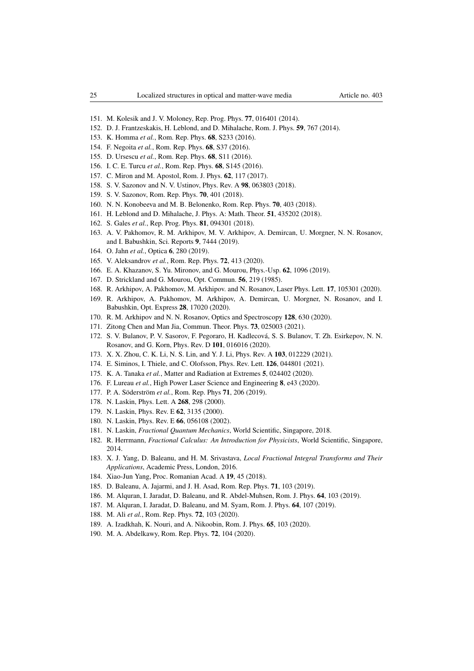- 151. M. Kolesik and J. V. Moloney, Rep. Prog. Phys. 77, 016401 (2014).
- 152. D. J. Frantzeskakis, H. Leblond, and D. Mihalache, Rom. J. Phys. 59, 767 (2014).
- 153. K. Homma *et al.*, Rom. Rep. Phys. 68, S233 (2016).
- 154. F. Negoita *et al.*, Rom. Rep. Phys. 68, S37 (2016).
- 155. D. Ursescu *et al.*, Rom. Rep. Phys. 68, S11 (2016).
- 156. I. C. E. Turcu *et al.*, Rom. Rep. Phys. 68, S145 (2016).
- 157. C. Miron and M. Apostol, Rom. J. Phys. 62, 117 (2017).
- 158. S. V. Sazonov and N. V. Ustinov, Phys. Rev. A 98, 063803 (2018).
- 159. S. V. Sazonov, Rom. Rep. Phys. 70, 401 (2018).
- 160. N. N. Konobeeva and M. B. Belonenko, Rom. Rep. Phys. 70, 403 (2018).
- 161. H. Leblond and D. Mihalache, J. Phys. A: Math. Theor. 51, 435202 (2018).
- 162. S. Gales *et al.*, Rep. Prog. Phys. 81, 094301 (2018).
- 163. A. V. Pakhomov, R. M. Arkhipov, M. V. Arkhipov, A. Demircan, U. Morgner, N. N. Rosanov, and I. Babushkin, Sci. Reports 9, 7444 (2019).
- 164. O. Jahn *et al.*, Optica 6, 280 (2019).
- 165. V. Aleksandrov *et al.*, Rom. Rep. Phys. 72, 413 (2020).
- 166. E. A. Khazanov, S. Yu. Mironov, and G. Mourou, Phys.-Usp. 62, 1096 (2019).
- 167. D. Strickland and G. Mourou, Opt. Commun. 56, 219 (1985).
- 168. R. Arkhipov, A. Pakhomov, M. Arkhipov. and N. Rosanov, Laser Phys. Lett. 17, 105301 (2020).
- 169. R. Arkhipov, A. Pakhomov, M. Arkhipov, A. Demircan, U. Morgner, N. Rosanov, and I. Babushkin, Opt. Express 28, 17020 (2020).
- 170. R. M. Arkhipov and N. N. Rosanov, Optics and Spectroscopy 128, 630 (2020).
- 171. Zitong Chen and Man Jia, Commun. Theor. Phys. 73, 025003 (2021).
- 172. S. V. Bulanov, P. V. Sasorov, F. Pegoraro, H. Kadlecova, S. S. Bulanov, T. Zh. Esirkepov, N. N. ´ Rosanov, and G. Korn, Phys. Rev. D 101, 016016 (2020).
- 173. X. X. Zhou, C. K. Li, N. S. Lin, and Y. J. Li, Phys. Rev. A 103, 012229 (2021).
- 174. E. Siminos, I. Thiele, and C. Olofsson, Phys. Rev. Lett. 126, 044801 (2021).
- 175. K. A. Tanaka *et al.*, Matter and Radiation at Extremes 5, 024402 (2020).
- 176. F. Lureau *et al.*, High Power Laser Science and Engineering 8, e43 (2020).
- 177. P. A. Söderström et al., Rom. Rep. Phys **71**, 206 (2019).
- 178. N. Laskin, Phys. Lett. A 268, 298 (2000).
- 179. N. Laskin, Phys. Rev. E 62, 3135 (2000).
- 180. N. Laskin, Phys. Rev. E 66, 056108 (2002).
- 181. N. Laskin, *Fractional Quantum Mechanics*, World Scientific, Singapore, 2018.
- 182. R. Herrmann, *Fractional Calculus: An Introduction for Physicists*, World Scientific, Singapore, 2014.
- 183. X. J. Yang, D. Baleanu, and H. M. Srivastava, *Local Fractional Integral Transforms and Their Applications*, Academic Press, London, 2016.
- 184. Xiao-Jun Yang, Proc. Romanian Acad. A 19, 45 (2018).
- 185. D. Baleanu, A. Jajarmi, and J. H. Asad, Rom. Rep. Phys. 71, 103 (2019).
- 186. M. Alquran, I. Jaradat, D. Baleanu, and R. Abdel-Muhsen, Rom. J. Phys. 64, 103 (2019).
- 187. M. Alquran, I. Jaradat, D. Baleanu, and M. Syam, Rom. J. Phys. 64, 107 (2019).
- 188. M. Ali *et al.*, Rom. Rep. Phys. 72, 103 (2020).
- 189. A. Izadkhah, K. Nouri, and A. Nikoobin, Rom. J. Phys. 65, 103 (2020).
- 190. M. A. Abdelkawy, Rom. Rep. Phys. 72, 104 (2020).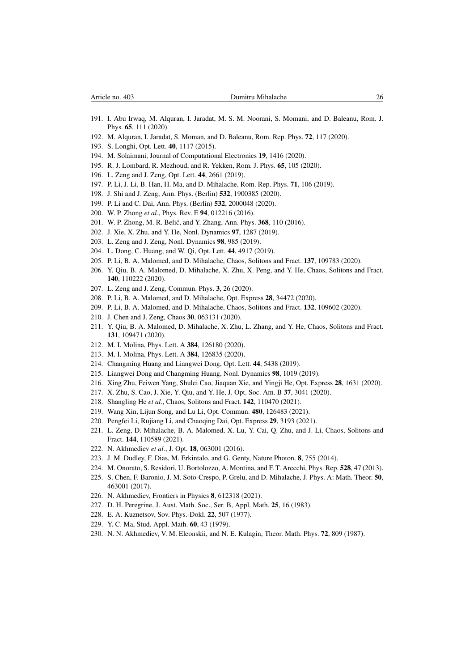- 191. I. Abu Irwaq, M. Alquran, I. Jaradat, M. S. M. Noorani, S. Momani, and D. Baleanu, Rom. J. Phys. 65, 111 (2020).
- 192. M. Alquran, I. Jaradat, S. Moman, and D. Baleanu, Rom. Rep. Phys. 72, 117 (2020).
- 193. S. Longhi, Opt. Lett. 40, 1117 (2015).
- 194. M. Solaimani, Journal of Computational Electronics 19, 1416 (2020).
- 195. R. J. Lombard, R. Mezhoud, and R. Yekken, Rom. J. Phys. 65, 105 (2020).
- 196. L. Zeng and J. Zeng, Opt. Lett. 44, 2661 (2019).
- 197. P. Li, J. Li, B. Han, H. Ma, and D. Mihalache, Rom. Rep. Phys. 71, 106 (2019).
- 198. J. Shi and J. Zeng, Ann. Phys. (Berlin) 532, 1900385 (2020).
- 199. P. Li and C. Dai, Ann. Phys. (Berlin) 532, 2000048 (2020).
- 200. W. P. Zhong *et al.*, Phys. Rev. E 94, 012216 (2016).
- 201. W. P. Zhong, M. R. Belić, and Y. Zhang, Ann. Phys. 368, 110 (2016).
- 202. J. Xie, X. Zhu, and Y. He, Nonl. Dynamics 97, 1287 (2019).
- 203. L. Zeng and J. Zeng, Nonl. Dynamics 98, 985 (2019).
- 204. L. Dong, C. Huang, and W. Qi, Opt. Lett. 44, 4917 (2019).
- 205. P. Li, B. A. Malomed, and D. Mihalache, Chaos, Solitons and Fract. 137, 109783 (2020).
- 206. Y. Qiu, B. A. Malomed, D. Mihalache, X. Zhu, X. Peng, and Y. He, Chaos, Solitons and Fract. 140, 110222 (2020).
- 207. L. Zeng and J. Zeng, Commun. Phys. 3, 26 (2020).
- 208. P. Li, B. A. Malomed, and D. Mihalache, Opt. Express 28, 34472 (2020).
- 209. P. Li, B. A. Malomed, and D. Mihalache, Chaos, Solitons and Fract. 132, 109602 (2020).
- 210. J. Chen and J. Zeng, Chaos 30, 063131 (2020).
- 211. Y. Qiu, B. A. Malomed, D. Mihalache, X. Zhu, L. Zhang, and Y. He, Chaos, Solitons and Fract. 131, 109471 (2020).
- 212. M. I. Molina, Phys. Lett. A 384, 126180 (2020).
- 213. M. I. Molina, Phys. Lett. A 384, 126835 (2020).
- 214. Changming Huang and Liangwei Dong, Opt. Lett. 44, 5438 (2019).
- 215. Liangwei Dong and Changming Huang, Nonl. Dynamics 98, 1019 (2019).
- 216. Xing Zhu, Feiwen Yang, Shulei Cao, Jiaquan Xie, and Yingji He, Opt. Express 28, 1631 (2020).
- 217. X. Zhu, S. Cao, J. Xie, Y. Qiu, and Y. He, J. Opt. Soc. Am. B 37, 3041 (2020).
- 218. Shangling He *et al.*, Chaos, Solitons and Fract. 142, 110470 (2021).
- 219. Wang Xin, Lijun Song, and Lu Li, Opt. Commun. 480, 126483 (2021).
- 220. Pengfei Li, Rujiang Li, and Chaoqing Dai, Opt. Express 29, 3193 (2021).
- 221. L. Zeng, D. Mihalache, B. A. Malomed, X. Lu, Y. Cai, Q. Zhu, and J. Li, Chaos, Solitons and Fract. 144, 110589 (2021).
- 222. N. Akhmediev *et al.*, J. Opt. 18, 063001 (2016).
- 223. J. M. Dudley, F. Dias, M. Erkintalo, and G. Genty, Nature Photon. 8, 755 (2014).
- 224. M. Onorato, S. Residori, U. Bortolozzo, A. Montina, and F. T. Arecchi, Phys. Rep. 528, 47 (2013).
- 225. S. Chen, F. Baronio, J. M. Soto-Crespo, P. Grelu, and D. Mihalache, J. Phys. A: Math. Theor. 50, 463001 (2017).
- 226. N. Akhmediev, Frontiers in Physics 8, 612318 (2021).
- 227. D. H. Peregrine, J. Aust. Math. Soc., Ser. B, Appl. Math. 25, 16 (1983).
- 228. E. A. Kuznetsov, Sov. Phys.-Dokl. 22, 507 (1977).
- 229. Y. C. Ma, Stud. Appl. Math. 60, 43 (1979).
- 230. N. N. Akhmediev, V. M. Eleonskii, and N. E. Kulagin, Theor. Math. Phys. 72, 809 (1987).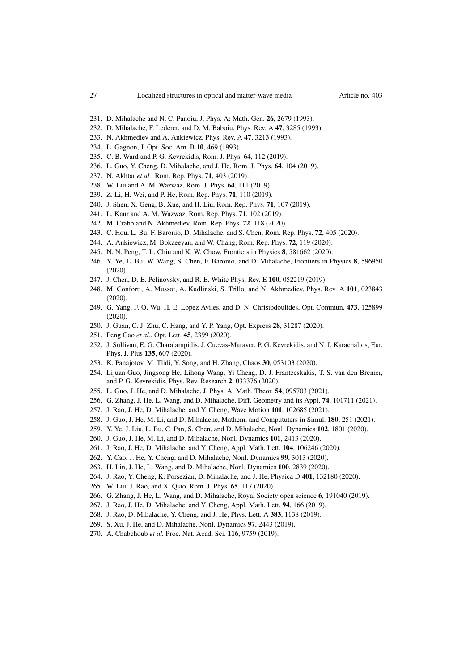- 231. D. Mihalache and N. C. Panoiu, J. Phys. A: Math. Gen. 26, 2679 (1993).
- 232. D. Mihalache, F. Lederer, and D. M. Baboiu, Phys. Rev. A 47, 3285 (1993).
- 233. N. Akhmediev and A. Ankiewicz, Phys. Rev. A 47, 3213 (1993).
- 234. L. Gagnon, J. Opt. Soc. Am. B 10, 469 (1993).
- 235. C. B. Ward and P. G. Kevrekidis, Rom. J. Phys. 64, 112 (2019).
- 236. L. Guo, Y. Cheng, D. Mihalache, and J. He, Rom. J. Phys. 64, 104 (2019).
- 237. N. Akhtar *et al.*, Rom. Rep. Phys. 71, 403 (2019).
- 238. W. Liu and A. M. Wazwaz, Rom. J. Phys. 64, 111 (2019).
- 239. Z. Li, H. Wei, and P. He, Rom. Rep. Phys. 71, 110 (2019).
- 240. J. Shen, X. Geng, B. Xue, and H. Liu, Rom. Rep. Phys. 71, 107 (2019).
- 241. L. Kaur and A. M. Wazwaz, Rom. Rep. Phys. 71, 102 (2019).
- 242. M. Crabb and N. Akhmediev, Rom. Rep. Phys. 72, 118 (2020).
- 243. C. Hou, L. Bu, F. Baronio, D. Mihalache, and S. Chen, Rom. Rep. Phys. 72, 405 (2020).
- 244. A. Ankiewicz, M. Bokaeeyan, and W. Chang, Rom. Rep. Phys. 72, 119 (2020).
- 245. N. N. Peng, T. L. Chiu and K. W. Chow, Frontiers in Physics 8, 581662 (2020).
- 246. Y. Ye, L. Bu, W. Wang, S. Chen, F. Baronio, and D. Mihalache, Frontiers in Physics 8, 596950 (2020).
- 247. J. Chen, D. E. Pelinovsky, and R. E. White Phys. Rev. E 100, 052219 (2019).
- 248. M. Conforti, A. Mussot, A. Kudlinski, S. Trillo, and N. Akhmediev, Phys. Rev. A 101, 023843 (2020).
- 249. G. Yang, F. O. Wu, H. E. Lopez Aviles, and D. N. Christodoulides, Opt. Commun. 473, 125899 (2020).
- 250. J. Guan, C. J. Zhu, C. Hang, and Y. P. Yang, Opt. Express 28, 31287 (2020).
- 251. Peng Gao *et al.*, Opt. Lett. 45, 2399 (2020).
- 252. J. Sullivan, E. G. Charalampidis, J. Cuevas-Maraver, P. G. Kevrekidis, and N. I. Karachalios, Eur. Phys. J. Plus 135, 607 (2020).
- 253. K. Panajotov, M. Tlidi, Y. Song, and H. Zhang, Chaos 30, 053103 (2020).
- 254. Lijuan Guo, Jingsong He, Lihong Wang, Yi Cheng, D. J. Frantzeskakis, T. S. van den Bremer, and P. G. Kevrekidis, Phys. Rev. Research 2, 033376 (2020).
- 255. L. Guo, J. He, and D. Mihalache, J. Phys. A: Math. Theor. 54, 095703 (2021).
- 256. G. Zhang, J. He, L. Wang, and D. Mihalache, Diff. Geometry and its Appl. 74, 101711 (2021).
- 257. J. Rao, J. He, D. Mihalache, and Y. Cheng, Wave Motion 101, 102685 (2021).
- 258. J. Guo, J. He, M. Li, and D. Mihalache, Mathem. and Compututers in Simul. 180, 251 (2021).
- 259. Y. Ye, J. Liu, L. Bu, C. Pan, S. Chen, and D. Mihalache, Nonl. Dynamics 102, 1801 (2020).
- 260. J. Guo, J. He, M. Li, and D. Mihalache, Nonl. Dynamics 101, 2413 (2020).
- 261. J. Rao, J. He, D. Mihalache, and Y. Cheng, Appl. Math. Lett. 104, 106246 (2020).
- 262. Y. Cao, J. He, Y. Cheng, and D. Mihalache, Nonl. Dynamics 99, 3013 (2020).
- 263. H. Lin, J. He, L. Wang, and D. Mihalache, Nonl. Dynamics 100, 2839 (2020).
- 264. J. Rao, Y. Cheng, K. Porsezian, D. Mihalache, and J. He, Physica D 401, 132180 (2020).
- 265. W. Liu, J. Rao, and X. Qiao, Rom. J. Phys. 65, 117 (2020).
- 266. G. Zhang, J. He, L. Wang, and D. Mihalache, Royal Society open science 6, 191040 (2019).
- 267. J. Rao, J. He, D. Mihalache, and Y. Cheng, Appl. Math. Lett. 94, 166 (2019).
- 268. J. Rao, D. Mihalache, Y. Cheng, and J. He, Phys. Lett. A 383, 1138 (2019).
- 269. S. Xu, J. He, and D. Mihalache, Nonl. Dynamics 97, 2443 (2019).
- 270. A. Chabchoub *et al.* Proc. Nat. Acad. Sci. 116, 9759 (2019).